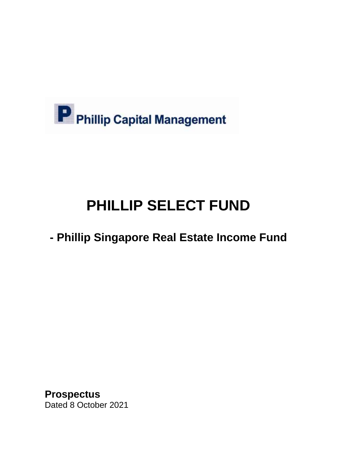

# **PHILLIP SELECT FUND**

# **- Phillip Singapore Real Estate Income Fund**

**Prospectus** Dated 8 October 2021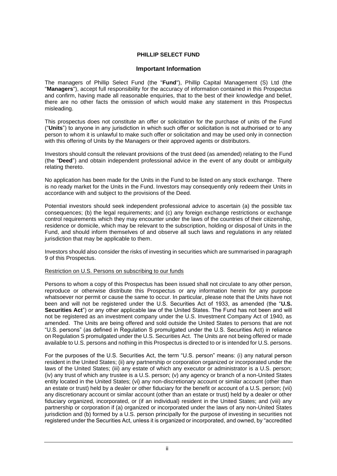# **PHILLIP SELECT FUND**

# **Important Information**

The managers of Phillip Select Fund (the "**Fund**"), Phillip Capital Management (S) Ltd (the "**Managers**"), accept full responsibility for the accuracy of information contained in this Prospectus and confirm, having made all reasonable enquiries, that to the best of their knowledge and belief, there are no other facts the omission of which would make any statement in this Prospectus misleading.

This prospectus does not constitute an offer or solicitation for the purchase of units of the Fund ("**Units**") to anyone in any jurisdiction in which such offer or solicitation is not authorised or to any person to whom it is unlawful to make such offer or solicitation and may be used only in connection with this offering of Units by the Managers or their approved agents or distributors.

Investors should consult the relevant provisions of the trust deed (as amended) relating to the Fund (the "**Deed**") and obtain independent professional advice in the event of any doubt or ambiguity relating thereto.

No application has been made for the Units in the Fund to be listed on any stock exchange. There is no ready market for the Units in the Fund. Investors may consequently only redeem their Units in accordance with and subject to the provisions of the Deed.

Potential investors should seek independent professional advice to ascertain (a) the possible tax consequences; (b) the legal requirements; and (c) any foreign exchange restrictions or exchange control requirements which they may encounter under the laws of the countries of their citizenship, residence or domicile, which may be relevant to the subscription, holding or disposal of Units in the Fund, and should inform themselves of and observe all such laws and regulations in any related jurisdiction that may be applicable to them.

Investors should also consider the risks of investing in securities which are summarised in paragraph 9 of this Prospectus.

# Restriction on U.S. Persons on subscribing to our funds

Persons to whom a copy of this Prospectus has been issued shall not circulate to any other person, reproduce or otherwise distribute this Prospectus or any information herein for any purpose whatsoever nor permit or cause the same to occur. In particular, please note that the Units have not been and will not be registered under the U.S. Securities Act of 1933, as amended (the "**U.S. Securities Act**") or any other applicable law of the United States. The Fund has not been and will not be registered as an investment company under the U.S. Investment Company Act of 1940, as amended. The Units are being offered and sold outside the United States to persons that are not "U.S. persons" (as defined in Regulation S promulgated under the U.S. Securities Act) in reliance on Regulation S promulgated under the U.S. Securities Act. The Units are not being offered or made available to U.S. persons and nothing in this Prospectus is directed to or is intended for U.S. persons.

For the purposes of the U.S. Securities Act, the term "U.S. person" means: (i) any natural person resident in the United States; (ii) any partnership or corporation organized or incorporated under the laws of the United States; (iii) any estate of which any executor or administrator is a U.S. person; (iv) any trust of which any trustee is a U.S. person; (v) any agency or branch of a non-United States entity located in the United States; (vi) any non-discretionary account or similar account (other than an estate or trust) held by a dealer or other fiduciary for the benefit or account of a U.S. person; (vii) any discretionary account or similar account (other than an estate or trust) held by a dealer or other fiduciary organized, incorporated, or (if an individual) resident in the United States; and (viii) any partnership or corporation if (a) organized or incorporated under the laws of any non-United States jurisdiction and (b) formed by a U.S. person principally for the purpose of investing in securities not registered under the Securities Act, unless it is organized or incorporated, and owned, by "accredited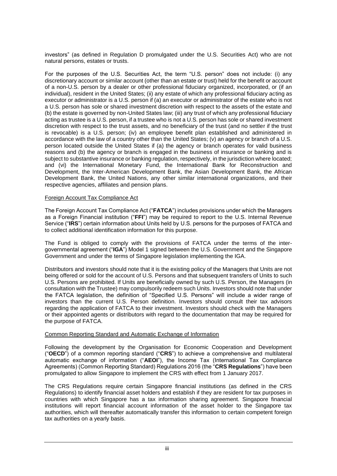investors" (as defined in Regulation D promulgated under the U.S. Securities Act) who are not natural persons, estates or trusts.

For the purposes of the U.S. Securities Act, the term "U.S. person" does not include: (i) any discretionary account or similar account (other than an estate or trust) held for the benefit or account of a non-U.S. person by a dealer or other professional fiduciary organized, incorporated, or (if an individual), resident in the United States; (ii) any estate of which any professional fiduciary acting as executor or administrator is a U.S. person if (a) an executor or administrator of the estate who is not a U.S. person has sole or shared investment discretion with respect to the assets of the estate and (b) the estate is governed by non-United States law; (iii) any trust of which any professional fiduciary acting as trustee is a U.S. person, if a trustee who is not a U.S. person has sole or shared investment discretion with respect to the trust assets, and no beneficiary of the trust (and no settler if the trust is revocable) is a U.S. person; (iv) an employee benefit plan established and administered in accordance with the law of a country other than the United States; (v) an agency or branch of a U.S. person located outside the United States if (a) the agency or branch operates for valid business reasons and (b) the agency or branch is engaged in the business of insurance or banking and is subject to substantive insurance or banking regulation, respectively, in the jurisdiction where located; and (vi) the International Monetary Fund, the International Bank for Reconstruction and Development, the Inter-American Development Bank, the Asian Development Bank, the African Development Bank, the United Nations, any other similar international organizations, and their respective agencies, affiliates and pension plans.

# Foreign Account Tax Compliance Act

The Foreign Account Tax Compliance Act ("**FATCA**") includes provisions under which the Managers as a Foreign Financial institution ("**FFI**") may be required to report to the U.S. Internal Revenue Service ("**IRS**") certain information about Units held by U.S. persons for the purposes of FATCA and to collect additional identification information for this purpose.

The Fund is obliged to comply with the provisions of FATCA under the terms of the intergovernmental agreement ("**IGA**") Model 1 signed between the U.S. Government and the Singapore Government and under the terms of Singapore legislation implementing the IGA.

Distributors and investors should note that it is the existing policy of the Managers that Units are not being offered or sold for the account of U.S. Persons and that subsequent transfers of Units to such U.S. Persons are prohibited. If Units are beneficially owned by such U.S. Person, the Managers (in consultation with the Trustee) may compulsorily redeem such Units. Investors should note that under the FATCA legislation, the definition of "Specified U.S. Persons" will include a wider range of investors than the current U.S. Person definition. Investors should consult their tax advisors regarding the application of FATCA to their investment. Investors should check with the Managers or their appointed agents or distributors with regard to the documentation that may be required for the purpose of FATCA.

# Common Reporting Standard and Automatic Exchange of Information

Following the development by the Organisation for Economic Cooperation and Development ("**OECD**") of a common reporting standard ("**CRS**") to achieve a comprehensive and multilateral automatic exchange of information ("**AEOI**"), the Income Tax (International Tax Compliance Agreements) (Common Reporting Standard) Regulations 2016 (the "**CRS Regulations**") have been promulgated to allow Singapore to implement the CRS with effect from 1 January 2017.

The CRS Regulations require certain Singapore financial institutions (as defined in the CRS Regulations) to identify financial asset holders and establish if they are resident for tax purposes in countries with which Singapore has a tax information sharing agreement. Singapore financial institutions will report financial account information of the asset holder to the Singapore tax authorities, which will thereafter automatically transfer this information to certain competent foreign tax authorities on a yearly basis.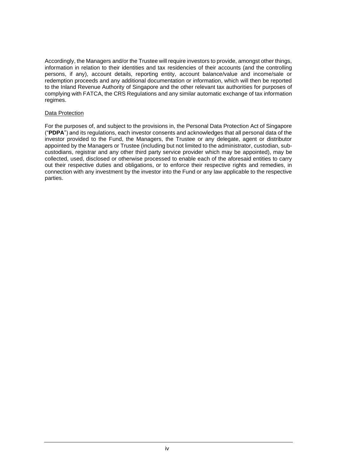Accordingly, the Managers and/or the Trustee will require investors to provide, amongst other things, information in relation to their identities and tax residencies of their accounts (and the controlling persons, if any), account details, reporting entity, account balance/value and income/sale or redemption proceeds and any additional documentation or information, which will then be reported to the Inland Revenue Authority of Singapore and the other relevant tax authorities for purposes of complying with FATCA, the CRS Regulations and any similar automatic exchange of tax information regimes.

# Data Protection

For the purposes of, and subject to the provisions in, the Personal Data Protection Act of Singapore ("**PDPA**") and its regulations, each investor consents and acknowledges that all personal data of the investor provided to the Fund, the Managers, the Trustee or any delegate, agent or distributor appointed by the Managers or Trustee (including but not limited to the administrator, custodian, subcustodians, registrar and any other third party service provider which may be appointed), may be collected, used, disclosed or otherwise processed to enable each of the aforesaid entities to carry out their respective duties and obligations, or to enforce their respective rights and remedies, in connection with any investment by the investor into the Fund or any law applicable to the respective parties.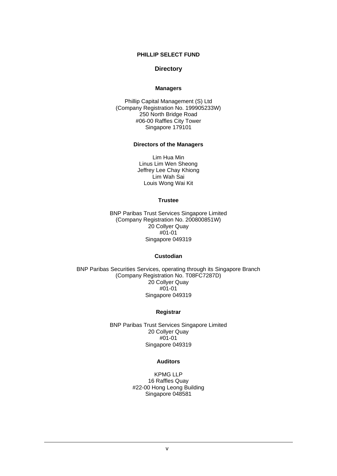# **PHILLIP SELECT FUND**

# **Directory**

#### **Managers**

Phillip Capital Management (S) Ltd (Company Registration No. 199905233W) 250 North Bridge Road #06-00 Raffles City Tower Singapore 179101

#### **Directors of the Managers**

Lim Hua Min Linus Lim Wen Sheong Jeffrey Lee Chay Khiong Lim Wah Sai Louis Wong Wai Kit

#### **Trustee**

BNP Paribas Trust Services Singapore Limited (Company Registration No. 200800851W) 20 Collyer Quay #01-01 Singapore 049319

#### **Custodian**

BNP Paribas Securities Services, operating through its Singapore Branch (Company Registration No. T08FC7287D) 20 Collyer Quay #01-01 Singapore 049319

# **Registrar**

BNP Paribas Trust Services Singapore Limited 20 Collyer Quay #01-01 Singapore 049319

#### **Auditors**

KPMG LLP 16 Raffles Quay #22-00 Hong Leong Building Singapore 048581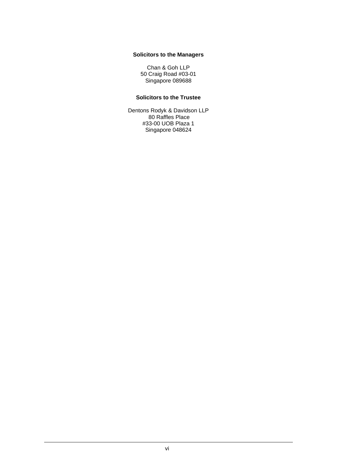# **Solicitors to the Managers**

Chan & Goh LLP 50 Craig Road #03-01 Singapore 089688

# **Solicitors to the Trustee**

Dentons Rodyk & Davidson LLP 80 Raffles Place #33-00 UOB Plaza 1 Singapore 048624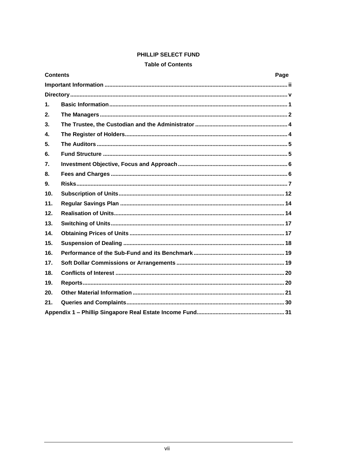# PHILLIP SELECT FUND

# **Table of Contents**

| <b>Contents</b> | Page |
|-----------------|------|
|                 |      |
|                 |      |
| $\mathbf 1$ .   |      |
| 2.              |      |
| 3.              |      |
| $\mathbf{4}$ .  |      |
| 5.              |      |
| 6.              |      |
| 7.              |      |
| 8.              |      |
| 9.              |      |
| 10 <sub>1</sub> |      |
| 11.             |      |
| 12.             |      |
| 13.             |      |
| 14.             |      |
| 15.             |      |
| 16.             |      |
| 17.             |      |
| 18.             |      |
| 19.             |      |
| 20.             |      |
| 21.             |      |
|                 |      |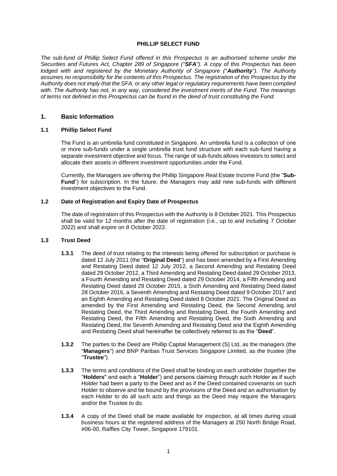#### **PHILLIP SELECT FUND**

*The sub-fund of Phillip Select Fund offered in this Prospectus is an authorised scheme under the Securities and Futures Act, Chapter 289 of Singapore ("SFA"). A copy of this Prospectus has been lodged with and registered by the Monetary Authority of Singapore ("Authority"). The Authority assumes no responsibility for the contents of this Prospectus. The registration of this Prospectus by the Authority does not imply that the SFA, or any other legal or regulatory requirements have been complied with. The Authority has not, in any way, considered the investment merits of the Fund. The meanings of terms not defined in this Prospectus can be found in the deed of trust constituting the Fund.* 

# **1. Basic Information**

# **1.1 Phillip Select Fund**

The Fund is an umbrella fund constituted in Singapore. An umbrella fund is a collection of one or more sub-funds under a single umbrella trust fund structure with each sub-fund having a separate investment objective and focus. The range of sub-funds allows investors to select and allocate their assets in different investment opportunities under the Fund.

Currently, the Managers are offering the Phillip Singapore Real Estate Income Fund (the "**Sub-Fund**") for subscription. In the future, the Managers may add new sub-funds with different investment objectives to the Fund.

#### **1.2 Date of Registration and Expiry Date of Prospectus**

The date of registration of this Prospectus with the Authority is 8 October 2021. This Prospectus shall be valid for 12 months after the date of registration (i.e., up to and including 7 October 2022) and shall expire on 8 October 2022.

#### **1.3 Trust Deed**

- **1.3.1** The deed of trust relating to the interests being offered for subscription or purchase is dated 12 July 2011 (the "**Original Deed**") and has been amended by a First Amending and Restating Deed dated 12 July 2012, a Second Amending and Restating Deed dated 29 October 2012, a Third Amending and Restating Deed dated 29 October 2013, a Fourth Amending and Restating Deed dated 29 October 2014, a Fifth Amending and Restating Deed dated 29 October 2015, a Sixth Amending and Restating Deed dated 28 October 2016, a Seventh Amending and Restating Deed dated 9 October 2017 and an Eighth Amending and Restating Deed dated 8 October 2021. The Original Deed as amended by the First Amending and Restating Deed, the Second Amending and Restating Deed, the Third Amending and Restating Deed, the Fourth Amending and Restating Deed, the Fifth Amending and Restating Deed, the Sixth Amending and Restating Deed, the Seventh Amending and Restating Deed and the Eighth Amending and Restating Deed shall hereinafter be collectively referred to as the "**Deed**".
- **1.3.2** The parties to the Deed are Phillip Capital Management (S) Ltd, as the managers (the "**Managers**") and BNP Paribas Trust Services Singapore Limited, as the trustee (the "**Trustee**").
- **1.3.3** The terms and conditions of the Deed shall be binding on each unitholder (together the "**Holders**" and each a "**Holder**") and persons claiming through such Holder as if such Holder had been a party to the Deed and as if the Deed contained covenants on such Holder to observe and be bound by the provisions of the Deed and an authorisation by each Holder to do all such acts and things as the Deed may require the Managers and/or the Trustee to do.
- **1.3.4** A copy of the Deed shall be made available for inspection, at all times during usual business hours at the registered address of the Managers at 250 North Bridge Road, #06-00, Raffles City Tower, Singapore 179101.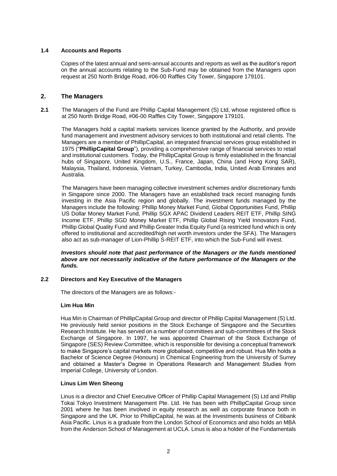# **1.4 Accounts and Reports**

Copies of the latest annual and semi-annual accounts and reports as well as the auditor's report on the annual accounts relating to the Sub-Fund may be obtained from the Managers upon request at 250 North Bridge Road, #06-00 Raffles City Tower, Singapore 179101.

# **2. The Managers**

**2.1** The Managers of the Fund are Phillip Capital Management (S) Ltd, whose registered office is at 250 North Bridge Road, #06-00 Raffles City Tower, Singapore 179101.

The Managers hold a capital markets services licence granted by the Authority, and provide fund management and investment advisory services to both institutional and retail clients. The Managers are a member of PhillipCapital, an integrated financial services group established in 1975 ("**PhillipCapital Group**"), providing a comprehensive range of financial services to retail and institutional customers. Today, the PhillipCapital Group is firmly established in the financial hubs of Singapore, United Kingdom, U.S., France, Japan, China (and Hong Kong SAR), Malaysia, Thailand, Indonesia, Vietnam, Turkey, Cambodia, India, United Arab Emirates and Australia.

The Managers have been managing collective investment schemes and/or discretionary funds in Singapore since 2000. The Managers have an established track record managing funds investing in the Asia Pacific region and globally. The investment funds managed by the Managers include the following: Phillip Money Market Fund, Global Opportunities Fund, Phillip US Dollar Money Market Fund, Phillip SGX APAC Dividend Leaders REIT ETF, Phillip SING Income ETF, Phillip SGD Money Market ETF, Phillip Global Rising Yield Innovators Fund, Phillip Global Quality Fund and Phillip Greater India Equity Fund (a restricted fund which is only offered to institutional and accredited/high net worth investors under the SFA). The Managers also act as sub-manager of Lion-Phillip S-REIT ETF, into which the Sub-Fund will invest.

#### *Investors should note that past performance of the Managers or the funds mentioned above are not necessarily indicative of the future performance of the Managers or the funds.*

#### **2.2 Directors and Key Executive of the Managers**

The directors of the Managers are as follows:-

#### **Lim Hua Min**

Hua Min is Chairman of PhillipCapital Group and director of Phillip Capital Management (S) Ltd. He previously held senior positions in the Stock Exchange of Singapore and the Securities Research Institute. He has served on a number of committees and sub-committees of the Stock Exchange of Singapore. In 1997, he was appointed Chairman of the Stock Exchange of Singapore (SES) Review Committee, which is responsible for devising a conceptual framework to make Singapore's capital markets more globalised, competitive and robust. Hua Min holds a Bachelor of Science Degree (Honours) in Chemical Engineering from the University of Surrey and obtained a Master's Degree in Operations Research and Management Studies from Imperial College, University of London.

#### **Linus Lim Wen Sheong**

Linus is a director and Chief Executive Officer of Phillip Capital Management (S) Ltd and Phillip Tokai Tokyo Investment Management Pte. Ltd. He has been with PhillipCapital Group since 2001 where he has been involved in equity research as well as corporate finance both in Singapore and the UK. Prior to PhillipCapital, he was at the Investments business of Citibank Asia Pacific. Linus is a graduate from the London School of Economics and also holds an MBA from the Anderson School of Management at UCLA. Linus is also a holder of the Fundamentals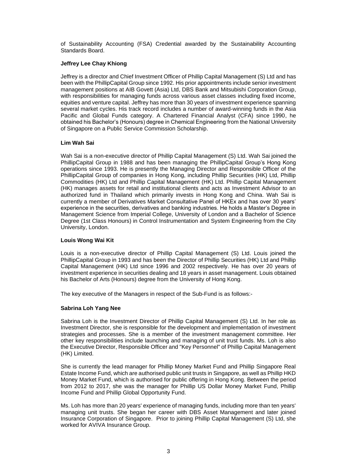of Sustainability Accounting (FSA) Credential awarded by the Sustainability Accounting Standards Board.

# **Jeffrey Lee Chay Khiong**

Jeffrey is a director and Chief Investment Officer of Phillip Capital Management (S) Ltd and has been with the PhillipCapital Group since 1992. His prior appointments include senior investment management positions at AIB Govett (Asia) Ltd, DBS Bank and Mitsubishi Corporation Group, with responsibilities for managing funds across various asset classes including fixed income, equities and venture capital. Jeffrey has more than 30 years of investment experience spanning several market cycles. His track record includes a number of award-winning funds in the Asia Pacific and Global Funds category. A Chartered Financial Analyst (CFA) since 1990, he obtained his Bachelor's (Honours) degree in Chemical Engineering from the National University of Singapore on a Public Service Commission Scholarship.

#### **Lim Wah Sai**

Wah Sai is a non-executive director of Phillip Capital Management (S) Ltd. Wah Sai joined the PhillipCapital Group in 1988 and has been managing the PhillipCapital Group's Hong Kong operations since 1993. He is presently the Managing Director and Responsible Officer of the PhillipCapital Group of companies in Hong Kong, including Phillip Securities (HK) Ltd, Phillip Commodities (HK) Ltd and Phillip Capital Management (HK) Ltd. Phillip Capital Management (HK) manages assets for retail and institutional clients and acts as Investment Advisor to an authorized fund in Thailand which primarily invests in Hong Kong and China. Wah Sai is currently a member of Derivatives Market Consultative Panel of HKEx and has over 30 years' experience in the securities, derivatives and banking industries. He holds a Master's Degree in Management Science from Imperial College, University of London and a Bachelor of Science Degree (1st Class Honours) in Control Instrumentation and System Engineering from the City University, London.

#### **Louis Wong Wai Kit**

Louis is a non-executive director of Phillip Capital Management (S) Ltd. Louis joined the PhillipCapital Group in 1993 and has been the Director of Phillip Securities (HK) Ltd and Phillip Capital Management (HK) Ltd since 1996 and 2002 respectively. He has over 20 years of investment experience in securities dealing and 18 years in asset management. Louis obtained his Bachelor of Arts (Honours) degree from the University of Hong Kong.

The key executive of the Managers in respect of the Sub-Fund is as follows:-

#### **Sabrina Loh Yang Nee**

Sabrina Loh is the Investment Director of Phillip Capital Management (S) Ltd. In her role as Investment Director, she is responsible for the development and implementation of investment strategies and processes. She is a member of the investment management committee. Her other key responsibilities include launching and managing of unit trust funds. Ms. Loh is also the Executive Director, Responsible Officer and "Key Personnel" of Phillip Capital Management (HK) Limited.

She is currently the lead manager for Phillip Money Market Fund and Phillip Singapore Real Estate Income Fund, which are authorised public unit trusts in Singapore, as well as Phillip HKD Money Market Fund, which is authorised for public offering in Hong Kong. Between the period from 2012 to 2017, she was the manager for Phillip US Dollar Money Market Fund, Phillip Income Fund and Phillip Global Opportunity Fund.

Ms. Loh has more than 20 years' experience of managing funds, including more than ten years' managing unit trusts. She began her career with DBS Asset Management and later joined Insurance Corporation of Singapore. Prior to joining Phillip Capital Management (S) Ltd, she worked for AVIVA Insurance Group.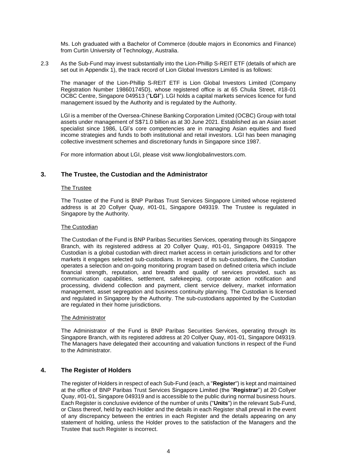Ms. Loh graduated with a Bachelor of Commerce (double majors in Economics and Finance) from Curtin University of Technology, Australia.

2.3 As the Sub-Fund may invest substantially into the Lion-Phillip S-REIT ETF (details of which are set out in Appendix 1), the track record of Lion Global Investors Limited is as follows:

The manager of the Lion-Phillip S-REIT ETF is Lion Global Investors Limited (Company Registration Number 198601745D), whose registered office is at 65 Chulia Street, #18-01 OCBC Centre, Singapore 049513 ("**LGI**"). LGI holds a capital markets services licence for fund management issued by the Authority and is regulated by the Authority.

LGI is a member of the Oversea-Chinese Banking Corporation Limited (OCBC) Group with total assets under management of S\$71.0 billion as at 30 June 2021. Established as an Asian asset specialist since 1986, LGI's core competencies are in managing Asian equities and fixed income strategies and funds to both institutional and retail investors. LGI has been managing collective investment schemes and discretionary funds in Singapore since 1987.

For more information about LGI, please visit [www.lionglobalinvestors.com.](http://www.lionglobalinvestors.com/)

# **3. The Trustee, the Custodian and the Administrator**

# The Trustee

The Trustee of the Fund is BNP Paribas Trust Services Singapore Limited whose registered address is at 20 Collyer Quay, #01-01, Singapore 049319. The Trustee is regulated in Singapore by the Authority.

# The Custodian

The Custodian of the Fund is BNP Paribas Securities Services, operating through its Singapore Branch, with its registered address at 20 Collyer Quay, #01-01, Singapore 049319. The Custodian is a global custodian with direct market access in certain jurisdictions and for other markets it engages selected sub-custodians. In respect of its sub-custodians, the Custodian operates a selection and on-going monitoring program based on defined criteria which include financial strength, reputation, and breadth and quality of services provided, such as communication capabilities, settlement, safekeeping, corporate action notification and processing, dividend collection and payment, client service delivery, market information management, asset segregation and business continuity planning. The Custodian is licensed and regulated in Singapore by the Authority. The sub-custodians appointed by the Custodian are regulated in their home jurisdictions.

#### The Administrator

The Administrator of the Fund is BNP Paribas Securities Services, operating through its Singapore Branch, with its registered address at 20 Collyer Quay, #01-01, Singapore 049319. The Managers have delegated their accounting and valuation functions in respect of the Fund to the Administrator.

# **4. The Register of Holders**

The register of Holders in respect of each Sub-Fund (each, a "**Register**") is kept and maintained at the office of BNP Paribas Trust Services Singapore Limited (the "**Registrar**") at 20 Collyer Quay, #01-01, Singapore 049319 and is accessible to the public during normal business hours. Each Register is conclusive evidence of the number of units ("**Units**") in the relevant Sub-Fund, or Class thereof, held by each Holder and the details in each Register shall prevail in the event of any discrepancy between the entries in each Register and the details appearing on any statement of holding, unless the Holder proves to the satisfaction of the Managers and the Trustee that such Register is incorrect.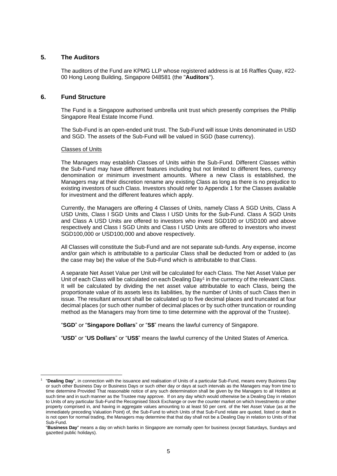# **5. The Auditors**

The auditors of the Fund are KPMG LLP whose registered address is at 16 Raffles Quay, #22- 00 Hong Leong Building, Singapore 048581 (the "**Auditors**").

# **6. Fund Structure**

The Fund is a Singapore authorised umbrella unit trust which presently comprises the Phillip Singapore Real Estate Income Fund.

The Sub-Fund is an open-ended unit trust. The Sub-Fund will issue Units denominated in USD and SGD. The assets of the Sub-Fund will be valued in SGD (base currency).

#### Classes of Units

The Managers may establish Classes of Units within the Sub-Fund. Different Classes within the Sub-Fund may have different features including but not limited to different fees, currency denomination or minimum investment amounts. Where a new Class is established, the Managers may at their discretion rename any existing Class as long as there is no prejudice to existing investors of such Class. Investors should refer to Appendix 1 for the Classes available for investment and the different features which apply.

Currently, the Managers are offering 4 Classes of Units, namely Class A SGD Units, Class A USD Units, Class I SGD Units and Class I USD Units for the Sub-Fund. Class A SGD Units and Class A USD Units are offered to investors who invest SGD100 or USD100 and above respectively and Class I SGD Units and Class I USD Units are offered to investors who invest SGD100,000 or USD100,000 and above respectively.

All Classes will constitute the Sub-Fund and are not separate sub-funds. Any expense, income and/or gain which is attributable to a particular Class shall be deducted from or added to (as the case may be) the value of the Sub-Fund which is attributable to that Class.

A separate Net Asset Value per Unit will be calculated for each Class. The Net Asset Value per Unit of each Class will be calculated on each Dealing Day<sup>1</sup> in the currency of the relevant Class. It will be calculated by dividing the net asset value attributable to each Class, being the proportionate value of its assets less its liabilities, by the number of Units of such Class then in issue. The resultant amount shall be calculated up to five decimal places and truncated at four decimal places (or such other number of decimal places or by such other truncation or rounding method as the Managers may from time to time determine with the approval of the Trustee).

"**SGD**" or "**Singapore Dollars**" or "**S\$**" means the lawful currency of Singapore.

"**USD**" or "**US Dollars**" or "**US\$**" means the lawful currency of the United States of America.

<sup>1</sup> "**Dealing Day**", in connection with the issuance and realisation of Units of a particular Sub-Fund, means every Business Day or such other Business Day or Business Days or such other day or days at such intervals as the Managers may from time to time determine Provided That reasonable notice of any such determination shall be given by the Managers to all Holders at such time and in such manner as the Trustee may approve. If on any day which would otherwise be a Dealing Day in relation to Units of any particular Sub-Fund the Recognised Stock Exchange or over the counter market on which Investments or other property comprised in, and having in aggregate values amounting to at least 50 per cent. of the Net Asset Value (as at the immediately preceding Valuation Point) of, the Sub-Fund to which Units of that Sub-Fund relate are quoted, listed or dealt in is not open for normal trading, the Managers may determine that that day shall not be a Dealing Day in relation to Units of that Sub-Fund.

<sup>&</sup>quot;**Business Day**" means a day on which banks in Singapore are normally open for business (except Saturdays, Sundays and gazetted public holidays).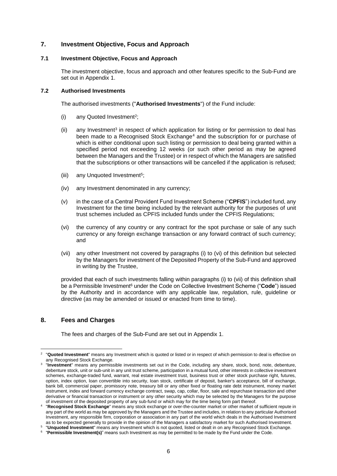# **7. Investment Objective, Focus and Approach**

#### **7.1 Investment Objective, Focus and Approach**

The investment objective, focus and approach and other features specific to the Sub-Fund are set out in Appendix 1.

# **7.2 Authorised Investments**

The authorised investments ("**Authorised Investments**") of the Fund include:

- (i) any Quoted Investment<sup>2</sup>;
- (ii) any Investment<sup>3</sup> in respect of which application for listing or for permission to deal has been made to a Recognised Stock Exchange<sup>4</sup> and the subscription for or purchase of which is either conditional upon such listing or permission to deal being granted within a specified period not exceeding 12 weeks (or such other period as may be agreed between the Managers and the Trustee) or in respect of which the Managers are satisfied that the subscriptions or other transactions will be cancelled if the application is refused;
- (iii) any Unquoted Investment<sup>5</sup>;
- (iv) any Investment denominated in any currency;
- (v) in the case of a Central Provident Fund Investment Scheme ("**CPFIS**") included fund, any Investment for the time being included by the relevant authority for the purposes of unit trust schemes included as CPFIS included funds under the CPFIS Regulations;
- (vi) the currency of any country or any contract for the spot purchase or sale of any such currency or any foreign exchange transaction or any forward contract of such currency; and
- (vii) any other Investment not covered by paragraphs (i) to (vi) of this definition but selected by the Managers for investment of the Deposited Property of the Sub-Fund and approved in writing by the Trustee,

provided that each of such investments falling within paragraphs (i) to (vii) of this definition shall be a Permissible Investment<sup>6</sup> under the Code on Collective Investment Scheme ("Code") issued by the Authority and in accordance with any applicable law, regulation, rule, guideline or directive (as may be amended or issued or enacted from time to time).

# **8. Fees and Charges**

The fees and charges of the Sub-Fund are set out in Appendix 1.

<sup>2</sup> "**Quoted Investment**" means any Investment which is quoted or listed or in respect of which permission to deal is effective on any Recognised Stock Exchange.

<sup>3</sup> "**Investment**" means any permissible investments set out in the Code, including any share, stock, bond, note, debenture, debenture stock, unit or sub-unit in any unit trust scheme, participation in a mutual fund, other interests in collective investment schemes, exchange-traded fund, warrant, real estate investment trust, business trust or other stock purchase right, futures, option, index option, loan convertible into security, loan stock, certificate of deposit, banker's acceptance, bill of exchange, bank bill, commercial paper, promissory note, treasury bill or any other fixed or floating rate debt instrument, money market instrument, index and forward currency exchange contract, swap, cap, collar, floor, sale and repurchase transaction and other derivative or financial transaction or instrument or any other security which may be selected by the Managers for the purpose of investment of the deposited property of any sub-fund or which may for the time being form part thereof.

<sup>4</sup> "**Recognised Stock Exchange**" means any stock exchange or over-the-counter market or other market of sufficient repute in any part of the world as may be approved by the Managers and the Trustee and includes, in relation to any particular Authorised Investment, any responsible firm, corporation or association in any part of the world which deals in the Authorised Investment as to be expected generally to provide in the opinion of the Managers a satisfactory market for such Authorised Investment.

<sup>5</sup> "**Unquoted Investment**" means any Investment which is not quoted, listed or dealt in on any Recognised Stock Exchange.

<sup>6</sup> "**Permissible Investment(s)**" means such Investment as may be permitted to be made by the Fund under the Code.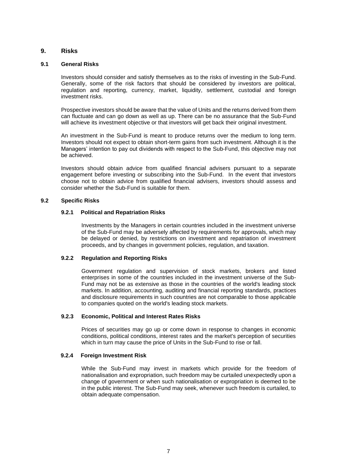# **9. Risks**

# **9.1 General Risks**

Investors should consider and satisfy themselves as to the risks of investing in the Sub-Fund. Generally, some of the risk factors that should be considered by investors are political, regulation and reporting, currency, market, liquidity, settlement, custodial and foreign investment risks.

Prospective investors should be aware that the value of Units and the returns derived from them can fluctuate and can go down as well as up. There can be no assurance that the Sub-Fund will achieve its investment objective or that investors will get back their original investment.

An investment in the Sub-Fund is meant to produce returns over the medium to long term. Investors should not expect to obtain short-term gains from such investment. Although it is the Managers' intention to pay out dividends with respect to the Sub-Fund, this objective may not be achieved.

Investors should obtain advice from qualified financial advisers pursuant to a separate engagement before investing or subscribing into the Sub-Fund. In the event that investors choose not to obtain advice from qualified financial advisers, investors should assess and consider whether the Sub-Fund is suitable for them.

# **9.2 Specific Risks**

# **9.2.1 Political and Repatriation Risks**

Investments by the Managers in certain countries included in the investment universe of the Sub-Fund may be adversely affected by requirements for approvals, which may be delayed or denied, by restrictions on investment and repatriation of investment proceeds, and by changes in government policies, regulation, and taxation.

### **9.2.2 Regulation and Reporting Risks**

Government regulation and supervision of stock markets, brokers and listed enterprises in some of the countries included in the investment universe of the Sub-Fund may not be as extensive as those in the countries of the world's leading stock markets. In addition, accounting, auditing and financial reporting standards, practices and disclosure requirements in such countries are not comparable to those applicable to companies quoted on the world's leading stock markets.

#### **9.2.3 Economic, Political and Interest Rates Risks**

Prices of securities may go up or come down in response to changes in economic conditions, political conditions, interest rates and the market's perception of securities which in turn may cause the price of Units in the Sub-Fund to rise or fall.

#### **9.2.4 Foreign Investment Risk**

While the Sub-Fund may invest in markets which provide for the freedom of nationalisation and expropriation, such freedom may be curtailed unexpectedly upon a change of government or when such nationalisation or expropriation is deemed to be in the public interest. The Sub-Fund may seek, whenever such freedom is curtailed, to obtain adequate compensation.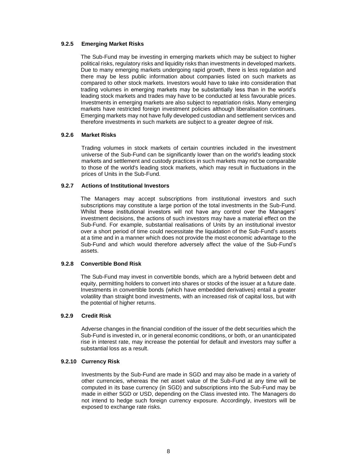# **9.2.5 Emerging Market Risks**

The Sub-Fund may be investing in emerging markets which may be subject to higher political risks, regulatory risks and liquidity risks than investments in developed markets. Due to many emerging markets undergoing rapid growth, there is less regulation and there may be less public information about companies listed on such markets as compared to other stock markets. Investors would have to take into consideration that trading volumes in emerging markets may be substantially less than in the world's leading stock markets and trades may have to be conducted at less favourable prices. Investments in emerging markets are also subject to repatriation risks. Many emerging markets have restricted foreign investment policies although liberalisation continues. Emerging markets may not have fully developed custodian and settlement services and therefore investments in such markets are subject to a greater degree of risk.

# **9.2.6 Market Risks**

Trading volumes in stock markets of certain countries included in the investment universe of the Sub-Fund can be significantly lower than on the world's leading stock markets and settlement and custody practices in such markets may not be comparable to those of the world's leading stock markets, which may result in fluctuations in the prices of Units in the Sub-Fund.

# **9.2.7 Actions of Institutional Investors**

The Managers may accept subscriptions from institutional investors and such subscriptions may constitute a large portion of the total investments in the Sub-Fund. Whilst these institutional investors will not have any control over the Managers' investment decisions, the actions of such investors may have a material effect on the Sub-Fund. For example, substantial realisations of Units by an institutional investor over a short period of time could necessitate the liquidation of the Sub-Fund's assets at a time and in a manner which does not provide the most economic advantage to the Sub-Fund and which would therefore adversely affect the value of the Sub-Fund's assets.

# **9.2.8 Convertible Bond Risk**

The Sub-Fund may invest in convertible bonds, which are a hybrid between debt and equity, permitting holders to convert into shares or stocks of the issuer at a future date. Investments in convertible bonds (which have embedded derivatives) entail a greater volatility than straight bond investments, with an increased risk of capital loss, but with the potential of higher returns.

#### **9.2.9 Credit Risk**

Adverse changes in the financial condition of the issuer of the debt securities which the Sub-Fund is invested in, or in general economic conditions, or both, or an unanticipated rise in interest rate, may increase the potential for default and investors may suffer a substantial loss as a result.

#### **9.2.10 Currency Risk**

Investments by the Sub-Fund are made in SGD and may also be made in a variety of other currencies, whereas the net asset value of the Sub-Fund at any time will be computed in its base currency (in SGD) and subscriptions into the Sub-Fund may be made in either SGD or USD, depending on the Class invested into. The Managers do not intend to hedge such foreign currency exposure. Accordingly, investors will be exposed to exchange rate risks.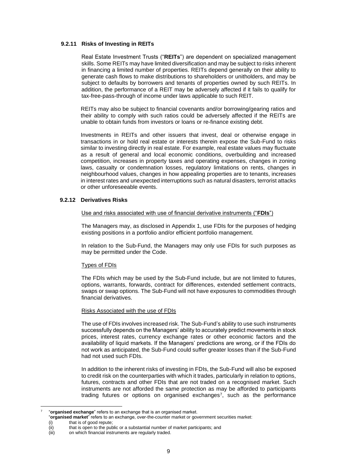#### **9.2.11 Risks of Investing in REITs**

Real Estate Investment Trusts ("**REITs**") are dependent on specialized management skills. Some REITs may have limited diversification and may be subject to risks inherent in financing a limited number of properties. REITs depend generally on their ability to generate cash flows to make distributions to shareholders or unitholders, and may be subject to defaults by borrowers and tenants of properties owned by such REITs. In addition, the performance of a REIT may be adversely affected if it fails to qualify for tax-free-pass-through of income under laws applicable to such REIT.

REITs may also be subject to financial covenants and/or borrowing/gearing ratios and their ability to comply with such ratios could be adversely affected if the REITs are unable to obtain funds from investors or loans or re-finance existing debt.

Investments in REITs and other issuers that invest, deal or otherwise engage in transactions in or hold real estate or interests therein expose the Sub-Fund to risks similar to investing directly in real estate. For example, real estate values may fluctuate as a result of general and local economic conditions, overbuilding and increased competition, increases in property taxes and operating expenses, changes in zoning laws, casualty or condemnation losses, regulatory limitations on rents, changes in neighbourhood values, changes in how appealing properties are to tenants, increases in interest rates and unexpected interruptions such as natural disasters, terrorist attacks or other unforeseeable events.

#### **9.2.12 Derivatives Risks**

#### Use and risks associated with use of financial derivative instruments ("**FDIs**")

The Managers may, as disclosed in Appendix 1, use FDIs for the purposes of hedging existing positions in a portfolio and/or efficient portfolio management.

In relation to the Sub-Fund, the Managers may only use FDIs for such purposes as may be permitted under the Code.

#### Types of FDIs

The FDIs which may be used by the Sub-Fund include, but are not limited to futures, options, warrants, forwards, contract for differences, extended settlement contracts, swaps or swap options. The Sub-Fund will not have exposures to commodities through financial derivatives.

#### Risks Associated with the use of FDIs

The use of FDIs involves increased risk. The Sub-Fund's ability to use such instruments successfully depends on the Managers' ability to accurately predict movements in stock prices, interest rates, currency exchange rates or other economic factors and the availability of liquid markets. If the Managers' predictions are wrong, or if the FDIs do not work as anticipated, the Sub-Fund could suffer greater losses than if the Sub-Fund had not used such FDIs.

In addition to the inherent risks of investing in FDIs, the Sub-Fund will also be exposed to credit risk on the counterparties with which it trades, particularly in relation to options, futures, contracts and other FDIs that are not traded on a recognised market. Such instruments are not afforded the same protection as may be afforded to participants trading futures or options on organised exchanges<sup>7</sup> , such as the performance

that is of good repute;

<sup>7</sup> "**organised exchange**" refers to an exchange that is an organised market.

<sup>&</sup>quot;**organised market**" refers to an exchange, over-the-counter market or government securities market:

<sup>(</sup>ii) that is open to the public or a substantial number of market participants; and

<sup>(</sup>iii) on which financial instruments are regularly traded.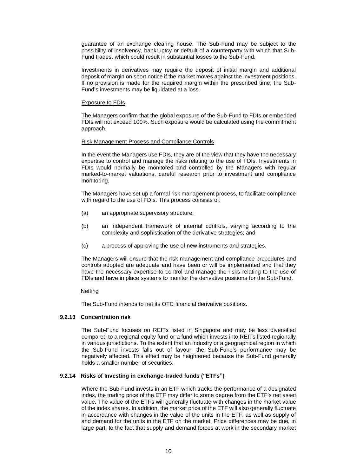guarantee of an exchange clearing house. The Sub-Fund may be subject to the possibility of insolvency, bankruptcy or default of a counterparty with which that Sub-Fund trades, which could result in substantial losses to the Sub-Fund.

Investments in derivatives may require the deposit of initial margin and additional deposit of margin on short notice if the market moves against the investment positions. If no provision is made for the required margin within the prescribed time, the Sub-Fund's investments may be liquidated at a loss.

#### Exposure to FDIs

The Managers confirm that the global exposure of the Sub-Fund to FDIs or embedded FDIs will not exceed 100%. Such exposure would be calculated using the commitment approach.

# Risk Management Process and Compliance Controls

In the event the Managers use FDIs, they are of the view that they have the necessary expertise to control and manage the risks relating to the use of FDIs. Investments in FDIs would normally be monitored and controlled by the Managers with regular marked-to-market valuations, careful research prior to investment and compliance monitoring.

The Managers have set up a formal risk management process, to facilitate compliance with regard to the use of FDIs. This process consists of:

- (a) an appropriate supervisory structure;
- (b) an independent framework of internal controls, varying according to the complexity and sophistication of the derivative strategies; and
- (c) a process of approving the use of new instruments and strategies.

The Managers will ensure that the risk management and compliance procedures and controls adopted are adequate and have been or will be implemented and that they have the necessary expertise to control and manage the risks relating to the use of FDIs and have in place systems to monitor the derivative positions for the Sub-Fund.

# **Netting**

The Sub-Fund intends to net its OTC financial derivative positions.

# **9.2.13 Concentration risk**

The Sub-Fund focuses on REITs listed in Singapore and may be less diversified compared to a regional equity fund or a fund which invests into REITs listed regionally in various jurisdictions. To the extent that an industry or a geographical region in which the Sub-Fund invests falls out of favour, the Sub-Fund's performance may be negatively affected. This effect may be heightened because the Sub-Fund generally holds a smaller number of securities.

# **9.2.14 Risks of Investing in exchange-traded funds ("ETFs")**

Where the Sub-Fund invests in an ETF which tracks the performance of a designated index, the trading price of the ETF may differ to some degree from the ETF's net asset value. The value of the ETFs will generally fluctuate with changes in the market value of the index shares. In addition, the market price of the ETF will also generally fluctuate in accordance with changes in the value of the units in the ETF, as well as supply of and demand for the units in the ETF on the market. Price differences may be due, in large part, to the fact that supply and demand forces at work in the secondary market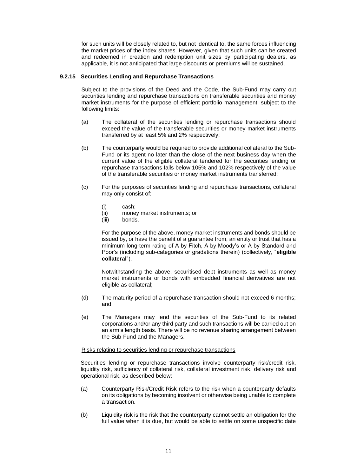for such units will be closely related to, but not identical to, the same forces influencing the market prices of the index shares. However, given that such units can be created and redeemed in creation and redemption unit sizes by participating dealers, as applicable, it is not anticipated that large discounts or premiums will be sustained.

# **9.2.15 Securities Lending and Repurchase Transactions**

Subject to the provisions of the Deed and the Code, the Sub-Fund may carry out securities lending and repurchase transactions on transferable securities and money market instruments for the purpose of efficient portfolio management, subject to the following limits:

- (a) The collateral of the securities lending or repurchase transactions should exceed the value of the transferable securities or money market instruments transferred by at least 5% and 2% respectively;
- (b) The counterparty would be required to provide additional collateral to the Sub-Fund or its agent no later than the close of the next business day when the current value of the eligible collateral tendered for the securities lending or repurchase transactions falls below 105% and 102% respectively of the value of the transferable securities or money market instruments transferred;
- (c) For the purposes of securities lending and repurchase transactions, collateral may only consist of:
	- (i) cash;
	- (ii) money market instruments; or
	- (iii) bonds.

For the purpose of the above, money market instruments and bonds should be issued by, or have the benefit of a guarantee from, an entity or trust that has a minimum long-term rating of A by Fitch, A by Moody's or A by Standard and Poor's (including sub-categories or gradations therein) (collectively, "**eligible collateral**").

Notwithstanding the above, securitised debt instruments as well as money market instruments or bonds with embedded financial derivatives are not eligible as collateral;

- (d) The maturity period of a repurchase transaction should not exceed 6 months; and
- (e) The Managers may lend the securities of the Sub-Fund to its related corporations and/or any third party and such transactions will be carried out on an arm's length basis. There will be no revenue sharing arrangement between the Sub-Fund and the Managers.

#### Risks relating to securities lending or repurchase transactions

Securities lending or repurchase transactions involve counterparty risk/credit risk, liquidity risk, sufficiency of collateral risk, collateral investment risk, delivery risk and operational risk, as described below:

- (a) Counterparty Risk/Credit Risk refers to the risk when a counterparty defaults on its obligations by becoming insolvent or otherwise being unable to complete a transaction.
- (b) Liquidity risk is the risk that the counterparty cannot settle an obligation for the full value when it is due, but would be able to settle on some unspecific date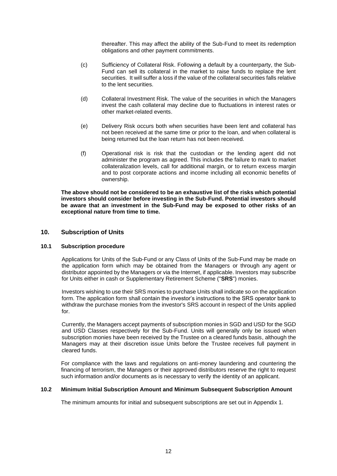thereafter. This may affect the ability of the Sub-Fund to meet its redemption obligations and other payment commitments.

- (c) Sufficiency of Collateral Risk. Following a default by a counterparty, the Sub-Fund can sell its collateral in the market to raise funds to replace the lent securities. It will suffer a loss if the value of the collateral securities falls relative to the lent securities.
- (d) Collateral Investment Risk. The value of the securities in which the Managers invest the cash collateral may decline due to fluctuations in interest rates or other market-related events.
- (e) Delivery Risk occurs both when securities have been lent and collateral has not been received at the same time or prior to the loan, and when collateral is being returned but the loan return has not been received.
- (f) Operational risk is risk that the custodian or the lending agent did not administer the program as agreed. This includes the failure to mark to market collateralization levels, call for additional margin, or to return excess margin and to post corporate actions and income including all economic benefits of ownership.

**The above should not be considered to be an exhaustive list of the risks which potential investors should consider before investing in the Sub-Fund. Potential investors should be aware that an investment in the Sub-Fund may be exposed to other risks of an exceptional nature from time to time.**

# **10. Subscription of Units**

# **10.1 Subscription procedure**

Applications for Units of the Sub-Fund or any Class of Units of the Sub-Fund may be made on the application form which may be obtained from the Managers or through any agent or distributor appointed by the Managers or via the Internet, if applicable. Investors may subscribe for Units either in cash or Supplementary Retirement Scheme ("**SRS**") monies.

Investors wishing to use their SRS monies to purchase Units shall indicate so on the application form. The application form shall contain the investor's instructions to the SRS operator bank to withdraw the purchase monies from the investor's SRS account in respect of the Units applied for.

Currently, the Managers accept payments of subscription monies in SGD and USD for the SGD and USD Classes respectively for the Sub-Fund. Units will generally only be issued when subscription monies have been received by the Trustee on a cleared funds basis, although the Managers may at their discretion issue Units before the Trustee receives full payment in cleared funds.

For compliance with the laws and regulations on anti-money laundering and countering the financing of terrorism, the Managers or their approved distributors reserve the right to request such information and/or documents as is necessary to verify the identity of an applicant.

# **10.2 Minimum Initial Subscription Amount and Minimum Subsequent Subscription Amount**

The minimum amounts for initial and subsequent subscriptions are set out in Appendix 1.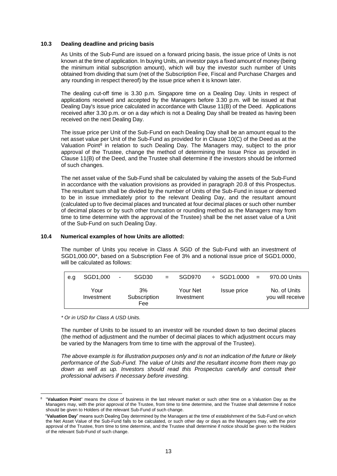#### **10.3 Dealing deadline and pricing basis**

As Units of the Sub-Fund are issued on a forward pricing basis, the issue price of Units is not known at the time of application. In buying Units, an investor pays a fixed amount of money (being the minimum initial subscription amount), which will buy the investor such number of Units obtained from dividing that sum (net of the Subscription Fee, Fiscal and Purchase Charges and any rounding in respect thereof) by the issue price when it is known later.

The dealing cut-off time is 3.30 p.m. Singapore time on a Dealing Day. Units in respect of applications received and accepted by the Managers before 3.30 p.m. will be issued at that Dealing Day's issue price calculated in accordance with Clause 11(B) of the Deed. Applications received after 3.30 p.m. or on a day which is not a Dealing Day shall be treated as having been received on the next Dealing Day.

The issue price per Unit of the Sub-Fund on each Dealing Day shall be an amount equal to the net asset value per Unit of the Sub-Fund as provided for in Clause 10(C) of the Deed as at the Valuation Point<sup>8</sup> in relation to such Dealing Day. The Managers may, subject to the prior approval of the Trustee, change the method of determining the Issue Price as provided in Clause 11(B) of the Deed, and the Trustee shall determine if the investors should be informed of such changes.

The net asset value of the Sub-Fund shall be calculated by valuing the assets of the Sub-Fund in accordance with the valuation provisions as provided in paragraph 20.8 of this Prospectus. The resultant sum shall be divided by the number of Units of the Sub-Fund in issue or deemed to be in issue immediately prior to the relevant Dealing Day, and the resultant amount (calculated up to five decimal places and truncated at four decimal places or such other number of decimal places or by such other truncation or rounding method as the Managers may from time to time determine with the approval of the Trustee) shall be the net asset value of a Unit of the Sub-Fund on such Dealing Day.

# **10.4 Numerical examples of how Units are allotted:**

The number of Units you receive in Class A SGD of the Sub-Fund with an investment of SGD1,000.00\*, based on a Subscription Fee of 3% and a notional issue price of SGD1.0000, will be calculated as follows:

| e.a | SGD1.000           | $\blacksquare$ | SGD <sub>30</sub>         | $=$ | SGD970                 | $\div$ SGD1.0000 = | 970.00 Units                     |
|-----|--------------------|----------------|---------------------------|-----|------------------------|--------------------|----------------------------------|
|     | Your<br>Investment |                | 3%<br>Subscription<br>Fee |     | Your Net<br>Investment | Issue price        | No. of Units<br>you will receive |

*\* Or in USD for Class A USD Units.*

The number of Units to be issued to an investor will be rounded down to two decimal places (the method of adjustment and the number of decimal places to which adjustment occurs may be varied by the Managers from time to time with the approval of the Trustee).

*The above example is for illustration purposes only and is not an indication of the future or likely performance of the Sub-Fund. The value of Units and the resultant income from them may go*  down as well as up. Investors should read this Prospectus carefully and consult their *professional advisers if necessary before investing.*

<sup>8</sup> "**Valuation Point**" means the close of business in the last relevant market or such other time on a Valuation Day as the Managers may, with the prior approval of the Trustee, from time to time determine, and the Trustee shall determine if notice should be given to Holders of the relevant Sub-Fund of such change.

<sup>&</sup>quot;**Valuation Day**" means such Dealing Day determined by the Managers at the time of establishment of the Sub-Fund on which the Net Asset Value of the Sub-Fund falls to be calculated, or such other day or days as the Managers may, with the prior approval of the Trustee, from time to time determine, and the Trustee shall determine if notice should be given to the Holders of the relevant Sub-Fund of such change.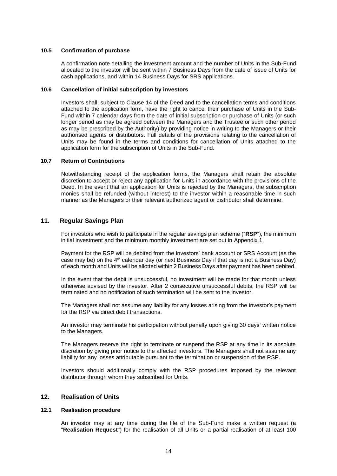#### **10.5 Confirmation of purchase**

A confirmation note detailing the investment amount and the number of Units in the Sub-Fund allocated to the investor will be sent within 7 Business Days from the date of issue of Units for cash applications, and within 14 Business Days for SRS applications.

### **10.6 Cancellation of initial subscription by investors**

Investors shall, subject to Clause 14 of the Deed and to the cancellation terms and conditions attached to the application form, have the right to cancel their purchase of Units in the Sub-Fund within 7 calendar days from the date of initial subscription or purchase of Units (or such longer period as may be agreed between the Managers and the Trustee or such other period as may be prescribed by the Authority) by providing notice in writing to the Managers or their authorised agents or distributors. Full details of the provisions relating to the cancellation of Units may be found in the terms and conditions for cancellation of Units attached to the application form for the subscription of Units in the Sub-Fund.

# **10.7 Return of Contributions**

Notwithstanding receipt of the application forms, the Managers shall retain the absolute discretion to accept or reject any application for Units in accordance with the provisions of the Deed. In the event that an application for Units is rejected by the Managers, the subscription monies shall be refunded (without interest) to the investor within a reasonable time in such manner as the Managers or their relevant authorized agent or distributor shall determine.

# **11. Regular Savings Plan**

For investors who wish to participate in the regular savings plan scheme ("**RSP**"), the minimum initial investment and the minimum monthly investment are set out in Appendix 1.

Payment for the RSP will be debited from the investors' bank account or SRS Account (as the case may be) on the  $4<sup>th</sup>$  calendar day (or next Business Day if that day is not a Business Day) of each month and Units will be allotted within 2 Business Days after payment has been debited.

In the event that the debit is unsuccessful, no investment will be made for that month unless otherwise advised by the investor. After 2 consecutive unsuccessful debits, the RSP will be terminated and no notification of such termination will be sent to the investor.

The Managers shall not assume any liability for any losses arising from the investor's payment for the RSP via direct debit transactions.

An investor may terminate his participation without penalty upon giving 30 days' written notice to the Managers.

The Managers reserve the right to terminate or suspend the RSP at any time in its absolute discretion by giving prior notice to the affected investors. The Managers shall not assume any liability for any losses attributable pursuant to the termination or suspension of the RSP.

Investors should additionally comply with the RSP procedures imposed by the relevant distributor through whom they subscribed for Units.

# **12. Realisation of Units**

#### **12.1 Realisation procedure**

An investor may at any time during the life of the Sub-Fund make a written request (a "**Realisation Request**") for the realisation of all Units or a partial realisation of at least 100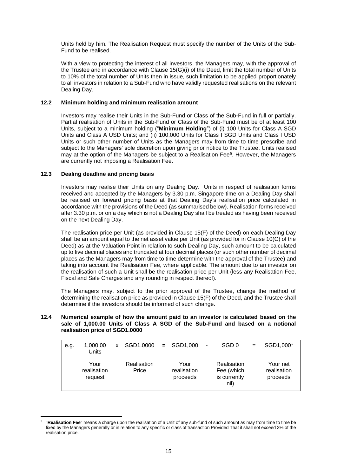Units held by him. The Realisation Request must specify the number of the Units of the Sub-Fund to be realised.

With a view to protecting the interest of all investors, the Managers may, with the approval of the Trustee and in accordance with Clause 15(G)(i) of the Deed, limit the total number of Units to 10% of the total number of Units then in issue, such limitation to be applied proportionately to all investors in relation to a Sub-Fund who have validly requested realisations on the relevant Dealing Day.

# **12.2 Minimum holding and minimum realisation amount**

Investors may realise their Units in the Sub-Fund or Class of the Sub-Fund in full or partially. Partial realisation of Units in the Sub-Fund or Class of the Sub-Fund must be of at least 100 Units, subject to a minimum holding ("**Minimum Holding**") of (i) 100 Units for Class A SGD Units and Class A USD Units; and (ii) 100,000 Units for Class I SGD Units and Class I USD Units or such other number of Units as the Managers may from time to time prescribe and subject to the Managers' sole discretion upon giving prior notice to the Trustee. Units realised may at the option of the Managers be subject to a Realisation Fee<sup>9</sup> . However, the Managers are currently not imposing a Realisation Fee.

# **12.3 Dealing deadline and pricing basis**

Investors may realise their Units on any Dealing Day. Units in respect of realisation forms received and accepted by the Managers by 3.30 p.m. Singapore time on a Dealing Day shall be realised on forward pricing basis at that Dealing Day's realisation price calculated in accordance with the provisions of the Deed (as summarised below). Realisation forms received after 3.30 p.m. or on a day which is not a Dealing Day shall be treated as having been received on the next Dealing Day.

The realisation price per Unit (as provided in Clause 15(F) of the Deed) on each Dealing Day shall be an amount equal to the net asset value per Unit (as provided for in Clause 10(C) of the Deed) as at the Valuation Point in relation to such Dealing Day, such amount to be calculated up to five decimal places and truncated at four decimal places (or such other number of decimal places as the Managers may from time to time determine with the approval of the Trustee) and taking into account the Realisation Fee, where applicable. The amount due to an investor on the realisation of such a Unit shall be the realisation price per Unit (less any Realisation Fee, Fiscal and Sale Charges and any rounding in respect thereof).

The Managers may, subject to the prior approval of the Trustee, change the method of determining the realisation price as provided in Clause 15(F) of the Deed, and the Trustee shall determine if the investors should be informed of such change.

#### **12.4 Numerical example of how the amount paid to an investor is calculated based on the sale of 1,000.00 Units of Class A SGD of the Sub-Fund and based on a notional realisation price of SGD1.0000**

| e.g. | 1,000.00<br>Units              | x | SGD1,0000            | $=$ SGD1,000                    | $\qquad \qquad \blacksquare$ | SGD <sub>0</sub>                                  | SGD1,000*                           |
|------|--------------------------------|---|----------------------|---------------------------------|------------------------------|---------------------------------------------------|-------------------------------------|
|      | Your<br>realisation<br>request |   | Realisation<br>Price | Your<br>realisation<br>proceeds |                              | Realisation<br>Fee (which<br>is currently<br>nil) | Your net<br>realisation<br>proceeds |

<sup>9</sup> "**Realisation Fee**" means a charge upon the realisation of a Unit of any sub-fund of such amount as may from time to time be fixed by the Managers generally or in relation to any specific or class of transaction Provided That it shall not exceed 3% of the realisation price.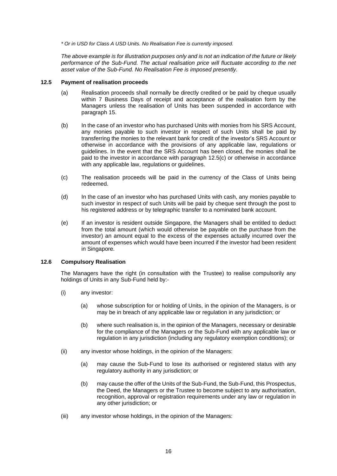*\* Or in USD for Class A USD Units. No Realisation Fee is currently imposed.*

*The above example is for illustration purposes only and is not an indication of the future or likely*  performance of the Sub-Fund. The actual realisation price will fluctuate according to the net *asset value of the Sub-Fund. No Realisation Fee is imposed presently.*

#### **12.5 Payment of realisation proceeds**

- (a) Realisation proceeds shall normally be directly credited or be paid by cheque usually within 7 Business Days of receipt and acceptance of the realisation form by the Managers unless the realisation of Units has been suspended in accordance with paragraph 15.
- (b) In the case of an investor who has purchased Units with monies from his SRS Account, any monies payable to such investor in respect of such Units shall be paid by transferring the monies to the relevant bank for credit of the investor's SRS Account or otherwise in accordance with the provisions of any applicable law, regulations or guidelines. In the event that the SRS Account has been closed, the monies shall be paid to the investor in accordance with paragraph 12.5(c) or otherwise in accordance with any applicable law, regulations or quidelines.
- (c) The realisation proceeds will be paid in the currency of the Class of Units being redeemed.
- (d) In the case of an investor who has purchased Units with cash, any monies payable to such investor in respect of such Units will be paid by cheque sent through the post to his registered address or by telegraphic transfer to a nominated bank account.
- (e) If an investor is resident outside Singapore, the Managers shall be entitled to deduct from the total amount (which would otherwise be payable on the purchase from the investor) an amount equal to the excess of the expenses actually incurred over the amount of expenses which would have been incurred if the investor had been resident in Singapore.

#### **12.6 Compulsory Realisation**

The Managers have the right (in consultation with the Trustee) to realise compulsorily any holdings of Units in any Sub-Fund held by:-

- (i) any investor:
	- (a) whose subscription for or holding of Units, in the opinion of the Managers, is or may be in breach of any applicable law or regulation in any jurisdiction; or
	- (b) where such realisation is, in the opinion of the Managers, necessary or desirable for the compliance of the Managers or the Sub-Fund with any applicable law or regulation in any jurisdiction (including any regulatory exemption conditions); or
- (ii) any investor whose holdings, in the opinion of the Managers:
	- (a) may cause the Sub-Fund to lose its authorised or registered status with any regulatory authority in any jurisdiction; or
	- (b) may cause the offer of the Units of the Sub-Fund, the Sub-Fund, this Prospectus, the Deed, the Managers or the Trustee to become subject to any authorisation, recognition, approval or registration requirements under any law or regulation in any other jurisdiction; or
- (iii) any investor whose holdings, in the opinion of the Managers: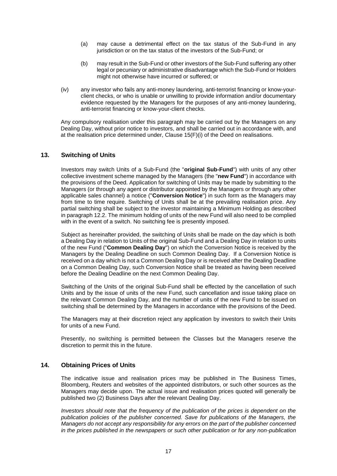- (a) may cause a detrimental effect on the tax status of the Sub-Fund in any jurisdiction or on the tax status of the investors of the Sub-Fund; or
- (b) may result in the Sub-Fund or other investors of the Sub-Fund suffering any other legal or pecuniary or administrative disadvantage which the Sub-Fund or Holders might not otherwise have incurred or suffered; or
- (iv) any investor who fails any anti-money laundering, anti-terrorist financing or know-yourclient checks, or who is unable or unwilling to provide information and/or documentary evidence requested by the Managers for the purposes of any anti-money laundering, anti-terrorist financing or know-your-client checks.

Any compulsory realisation under this paragraph may be carried out by the Managers on any Dealing Day, without prior notice to investors, and shall be carried out in accordance with, and at the realisation price determined under, Clause 15(F)(i) of the Deed on realisations.

# **13. Switching of Units**

Investors may switch Units of a Sub-Fund (the "**original Sub-Fund**") with units of any other collective investment scheme managed by the Managers (the "**new Fund**") in accordance with the provisions of the Deed. Application for switching of Units may be made by submitting to the Managers (or through any agent or distributor appointed by the Managers or through any other applicable sales channel) a notice ("**Conversion Notice**") in such form as the Managers may from time to time require. Switching of Units shall be at the prevailing realisation price. Any partial switching shall be subject to the investor maintaining a Minimum Holding as described in paragraph 12.2. The minimum holding of units of the new Fund will also need to be complied with in the event of a switch. No switching fee is presently imposed.

Subject as hereinafter provided, the switching of Units shall be made on the day which is both a Dealing Day in relation to Units of the original Sub-Fund and a Dealing Day in relation to units of the new Fund ("**Common Dealing Day**") on which the Conversion Notice is received by the Managers by the Dealing Deadline on such Common Dealing Day. If a Conversion Notice is received on a day which is not a Common Dealing Day or is received after the Dealing Deadline on a Common Dealing Day, such Conversion Notice shall be treated as having been received before the Dealing Deadline on the next Common Dealing Day.

Switching of the Units of the original Sub-Fund shall be effected by the cancellation of such Units and by the issue of units of the new Fund, such cancellation and issue taking place on the relevant Common Dealing Day, and the number of units of the new Fund to be issued on switching shall be determined by the Managers in accordance with the provisions of the Deed.

The Managers may at their discretion reject any application by investors to switch their Units for units of a new Fund.

Presently, no switching is permitted between the Classes but the Managers reserve the discretion to permit this in the future.

# **14. Obtaining Prices of Units**

The indicative issue and realisation prices may be published in The Business Times, Bloomberg, Reuters and websites of the appointed distributors, or such other sources as the Managers may decide upon. The actual issue and realisation prices quoted will generally be published two (2) Business Days after the relevant Dealing Day.

*Investors should note that the frequency of the publication of the prices is dependent on the publication policies of the publisher concerned. Save for publications of the Managers, the Managers do not accept any responsibility for any errors on the part of the publisher concerned in the prices published in the newspapers or such other publication or for any non-publication*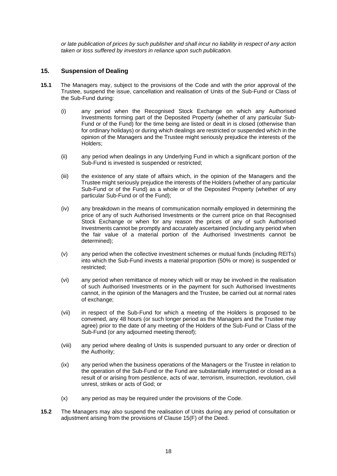*or late publication of prices by such publisher and shall incur no liability in respect of any action taken or loss suffered by investors in reliance upon such publication.*

# **15. Suspension of Dealing**

- **15.1** The Managers may, subject to the provisions of the Code and with the prior approval of the Trustee, suspend the issue, cancellation and realisation of Units of the Sub-Fund or Class of the Sub-Fund during:
	- (i) any period when the Recognised Stock Exchange on which any Authorised Investments forming part of the Deposited Property (whether of any particular Sub-Fund or of the Fund) for the time being are listed or dealt in is closed (otherwise than for ordinary holidays) or during which dealings are restricted or suspended which in the opinion of the Managers and the Trustee might seriously prejudice the interests of the Holders;
	- (ii) any period when dealings in any Underlying Fund in which a significant portion of the Sub-Fund is invested is suspended or restricted;
	- (iii) the existence of any state of affairs which, in the opinion of the Managers and the Trustee might seriously prejudice the interests of the Holders (whether of any particular Sub-Fund or of the Fund) as a whole or of the Deposited Property (whether of any particular Sub-Fund or of the Fund);
	- (iv) any breakdown in the means of communication normally employed in determining the price of any of such Authorised Investments or the current price on that Recognised Stock Exchange or when for any reason the prices of any of such Authorised Investments cannot be promptly and accurately ascertained (including any period when the fair value of a material portion of the Authorised Investments cannot be determined);
	- (v) any period when the collective investment schemes or mutual funds (including REITs) into which the Sub-Fund invests a material proportion (50% or more) is suspended or restricted;
	- (vi) any period when remittance of money which will or may be involved in the realisation of such Authorised Investments or in the payment for such Authorised Investments cannot, in the opinion of the Managers and the Trustee, be carried out at normal rates of exchange;
	- (vii) in respect of the Sub-Fund for which a meeting of the Holders is proposed to be convened, any 48 hours (or such longer period as the Managers and the Trustee may agree) prior to the date of any meeting of the Holders of the Sub-Fund or Class of the Sub-Fund (or any adjourned meeting thereof);
	- (viii) any period where dealing of Units is suspended pursuant to any order or direction of the Authority;
	- (ix) any period when the business operations of the Managers or the Trustee in relation to the operation of the Sub-Fund or the Fund are substantially interrupted or closed as a result of or arising from pestilence, acts of war, terrorism, insurrection, revolution, civil unrest, strikes or acts of God; or
	- (x) any period as may be required under the provisions of the Code.
- **15.2** The Managers may also suspend the realisation of Units during any period of consultation or adjustment arising from the provisions of Clause 15(F) of the Deed.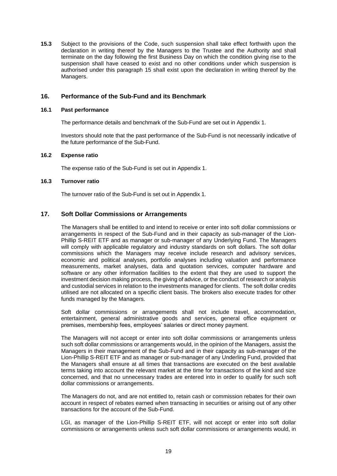**15.3** Subject to the provisions of the Code, such suspension shall take effect forthwith upon the declaration in writing thereof by the Managers to the Trustee and the Authority and shall terminate on the day following the first Business Day on which the condition giving rise to the suspension shall have ceased to exist and no other conditions under which suspension is authorised under this paragraph 15 shall exist upon the declaration in writing thereof by the Managers.

# **16. Performance of the Sub-Fund and its Benchmark**

#### **16.1 Past performance**

The performance details and benchmark of the Sub-Fund are set out in Appendix 1.

Investors should note that the past performance of the Sub-Fund is not necessarily indicative of the future performance of the Sub-Fund.

#### **16.2 Expense ratio**

The expense ratio of the Sub-Fund is set out in Appendix 1.

#### **16.3 Turnover ratio**

The turnover ratio of the Sub-Fund is set out in Appendix 1.

# **17. Soft Dollar Commissions or Arrangements**

The Managers shall be entitled to and intend to receive or enter into soft dollar commissions or arrangements in respect of the Sub-Fund and in their capacity as sub-manager of the Lion-Phillip S-REIT ETF and as manager or sub-manager of any Underlying Fund. The Managers will comply with applicable regulatory and industry standards on soft dollars. The soft dollar commissions which the Managers may receive include research and advisory services, economic and political analyses, portfolio analyses including valuation and performance measurements, market analyses, data and quotation services, computer hardware and software or any other information facilities to the extent that they are used to support the investment decision making process, the giving of advice, or the conduct of research or analysis and custodial services in relation to the investments managed for clients. The soft dollar credits utilised are not allocated on a specific client basis. The brokers also execute trades for other funds managed by the Managers.

Soft dollar commissions or arrangements shall not include travel, accommodation, entertainment, general administrative goods and services, general office equipment or premises, membership fees, employees' salaries or direct money payment.

The Managers will not accept or enter into soft dollar commissions or arrangements unless such soft dollar commissions or arrangements would, in the opinion of the Managers, assist the Managers in their management of the Sub-Fund and in their capacity as sub-manager of the Lion-Phillip S-REIT ETF and as manager or sub-manager of any Underling Fund, provided that the Managers shall ensure at all times that transactions are executed on the best available terms taking into account the relevant market at the time for transactions of the kind and size concerned, and that no unnecessary trades are entered into in order to qualify for such soft dollar commissions or arrangements.

The Managers do not, and are not entitled to, retain cash or commission rebates for their own account in respect of rebates earned when transacting in securities or arising out of any other transactions for the account of the Sub-Fund.

LGI, as manager of the Lion-Phillip S-REIT ETF, will not accept or enter into soft dollar commissions or arrangements unless such soft dollar commissions or arrangements would, in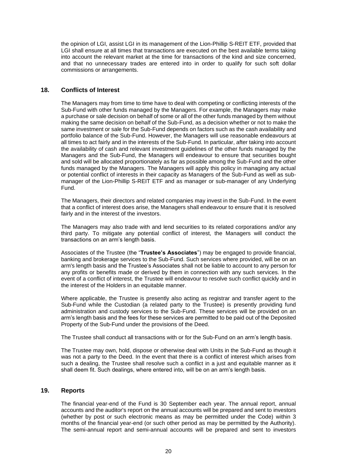the opinion of LGI, assist LGI in its management of the Lion-Phillip S-REIT ETF, provided that LGI shall ensure at all times that transactions are executed on the best available terms taking into account the relevant market at the time for transactions of the kind and size concerned, and that no unnecessary trades are entered into in order to qualify for such soft dollar commissions or arrangements.

# **18. Conflicts of Interest**

The Managers may from time to time have to deal with competing or conflicting interests of the Sub-Fund with other funds managed by the Managers. For example, the Managers may make a purchase or sale decision on behalf of some or all of the other funds managed by them without making the same decision on behalf of the Sub-Fund, as a decision whether or not to make the same investment or sale for the Sub-Fund depends on factors such as the cash availability and portfolio balance of the Sub-Fund. However, the Managers will use reasonable endeavours at all times to act fairly and in the interests of the Sub-Fund. In particular, after taking into account the availability of cash and relevant investment guidelines of the other funds managed by the Managers and the Sub-Fund, the Managers will endeavour to ensure that securities bought and sold will be allocated proportionately as far as possible among the Sub-Fund and the other funds managed by the Managers. The Managers will apply this policy in managing any actual or potential conflict of interests in their capacity as Managers of the Sub-Fund as well as submanager of the Lion-Phillip S-REIT ETF and as manager or sub-manager of any Underlying Fund.

The Managers, their directors and related companies may invest in the Sub-Fund. In the event that a conflict of interest does arise, the Managers shall endeavour to ensure that it is resolved fairly and in the interest of the investors.

The Managers may also trade with and lend securities to its related corporations and/or any third party. To mitigate any potential conflict of interest, the Managers will conduct the transactions on an arm's length basis.

Associates of the Trustee (the "**Trustee's Associates**") may be engaged to provide financial, banking and brokerage services to the Sub-Fund. Such services where provided, will be on an arm's length basis and the Trustee's Associates shall not be liable to account to any person for any profits or benefits made or derived by them in connection with any such services. In the event of a conflict of interest, the Trustee will endeavour to resolve such conflict quickly and in the interest of the Holders in an equitable manner.

Where applicable, the Trustee is presently also acting as registrar and transfer agent to the Sub-Fund while the Custodian (a related party to the Trustee) is presently providing fund administration and custody services to the Sub-Fund. These services will be provided on an arm's length basis and the fees for these services are permitted to be paid out of the Deposited Property of the Sub-Fund under the provisions of the Deed.

The Trustee shall conduct all transactions with or for the Sub-Fund on an arm's length basis.

The Trustee may own, hold, dispose or otherwise deal with Units in the Sub-Fund as though it was not a party to the Deed. In the event that there is a conflict of interest which arises from such a dealing, the Trustee shall resolve such a conflict in a just and equitable manner as it shall deem fit. Such dealings, where entered into, will be on an arm's length basis.

# **19. Reports**

The financial year-end of the Fund is 30 September each year. The annual report, annual accounts and the auditor's report on the annual accounts will be prepared and sent to investors (whether by post or such electronic means as may be permitted under the Code) within 3 months of the financial year-end (or such other period as may be permitted by the Authority). The semi-annual report and semi-annual accounts will be prepared and sent to investors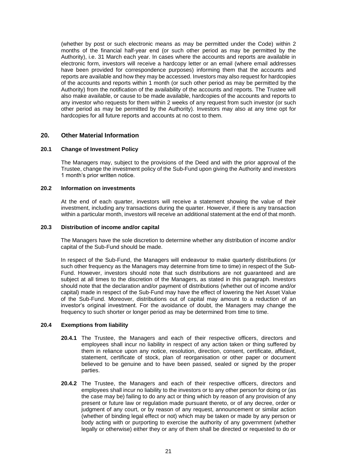(whether by post or such electronic means as may be permitted under the Code) within 2 months of the financial half-year end (or such other period as may be permitted by the Authority), i.e. 31 March each year. In cases where the accounts and reports are available in electronic form, investors will receive a hardcopy letter or an email (where email addresses have been provided for correspondence purposes) informing them that the accounts and reports are available and how they may be accessed. Investors may also request for hardcopies of the accounts and reports within 1 month (or such other period as may be permitted by the Authority) from the notification of the availability of the accounts and reports. The Trustee will also make available, or cause to be made available, hardcopies of the accounts and reports to any investor who requests for them within 2 weeks of any request from such investor (or such other period as may be permitted by the Authority). Investors may also at any time opt for hardcopies for all future reports and accounts at no cost to them.

# **20. Other Material Information**

#### **20.1 Change of Investment Policy**

The Managers may, subject to the provisions of the Deed and with the prior approval of the Trustee, change the investment policy of the Sub-Fund upon giving the Authority and investors 1 month's prior written notice.

# **20.2 Information on investments**

At the end of each quarter, investors will receive a statement showing the value of their investment, including any transactions during the quarter. However, if there is any transaction within a particular month, investors will receive an additional statement at the end of that month.

# **20.3 Distribution of income and/or capital**

The Managers have the sole discretion to determine whether any distribution of income and/or capital of the Sub-Fund should be made.

In respect of the Sub-Fund, the Managers will endeavour to make quarterly distributions (or such other frequency as the Managers may determine from time to time) in respect of the Sub-Fund. However, investors should note that such distributions are not guaranteed and are subject at all times to the discretion of the Managers, as stated in this paragraph. Investors should note that the declaration and/or payment of distributions (whether out of income and/or capital) made in respect of the Sub-Fund may have the effect of lowering the Net Asset Value of the Sub-Fund. Moreover, distributions out of capital may amount to a reduction of an investor's original investment. For the avoidance of doubt, the Managers may change the frequency to such shorter or longer period as may be determined from time to time.

#### **20.4 Exemptions from liability**

- **20.4.1** The Trustee, the Managers and each of their respective officers, directors and employees shall incur no liability in respect of any action taken or thing suffered by them in reliance upon any notice, resolution, direction, consent, certificate, affidavit, statement, certificate of stock, plan of reorganisation or other paper or document believed to be genuine and to have been passed, sealed or signed by the proper parties.
- **20.4.2** The Trustee, the Managers and each of their respective officers, directors and employees shall incur no liability to the investors or to any other person for doing or (as the case may be) failing to do any act or thing which by reason of any provision of any present or future law or regulation made pursuant thereto, or of any decree, order or judgment of any court, or by reason of any request, announcement or similar action (whether of binding legal effect or not) which may be taken or made by any person or body acting with or purporting to exercise the authority of any government (whether legally or otherwise) either they or any of them shall be directed or requested to do or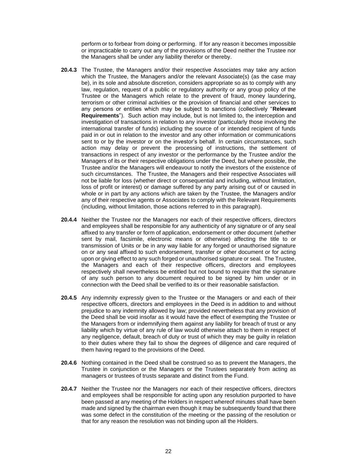perform or to forbear from doing or performing. If for any reason it becomes impossible or impracticable to carry out any of the provisions of the Deed neither the Trustee nor the Managers shall be under any liability therefor or thereby.

- **20.4.3** The Trustee, the Managers and/or their respective Associates may take any action which the Trustee, the Managers and/or the relevant Associate(s) (as the case may be), in its sole and absolute discretion, considers appropriate so as to comply with any law, regulation, request of a public or regulatory authority or any group policy of the Trustee or the Managers which relate to the prevent of fraud, money laundering, terrorism or other criminal activities or the provision of financial and other services to any persons or entities which may be subject to sanctions (collectively "**Relevant Requirements**"). Such action may include, but is not limited to, the interception and investigation of transactions in relation to any investor (particularly those involving the international transfer of funds) including the source of or intended recipient of funds paid in or out in relation to the investor and any other information or communications sent to or by the investor or on the investor's behalf. In certain circumstances, such action may delay or prevent the processing of instructions, the settlement of transactions in respect of any investor or the performance by the Trustee and/or the Managers of its or their respective obligations under the Deed, but where possible, the Trustee and/or the Managers will endeavour to notify the investors of the existence of such circumstances. The Trustee, the Managers and their respective Associates will not be liable for loss (whether direct or consequential and including, without limitation, loss of profit or interest) or damage suffered by any party arising out of or caused in whole or in part by any actions which are taken by the Trustee, the Managers and/or any of their respective agents or Associates to comply with the Relevant Requirements (including, without limitation, those actions referred to in this paragraph).
- **20.4.4** Neither the Trustee nor the Managers nor each of their respective officers, directors and employees shall be responsible for any authenticity of any signature or of any seal affixed to any transfer or form of application, endorsement or other document (whether sent by mail, facsimile, electronic means or otherwise) affecting the title to or transmission of Units or be in any way liable for any forged or unauthorised signature on or any seal affixed to such endorsement, transfer or other document or for acting upon or giving effect to any such forged or unauthorised signature or seal. The Trustee, the Managers and each of their respective officers, directors and employees respectively shall nevertheless be entitled but not bound to require that the signature of any such person to any document required to be signed by him under or in connection with the Deed shall be verified to its or their reasonable satisfaction.
- **20.4.5** Any indemnity expressly given to the Trustee or the Managers or and each of their respective officers, directors and employees in the Deed is in addition to and without prejudice to any indemnity allowed by law; provided nevertheless that any provision of the Deed shall be void insofar as it would have the effect of exempting the Trustee or the Managers from or indemnifying them against any liability for breach of trust or any liability which by virtue of any rule of law would otherwise attach to them in respect of any negligence, default, breach of duty or trust of which they may be guilty in relation to their duties where they fail to show the degrees of diligence and care required of them having regard to the provisions of the Deed.
- **20.4.6** Nothing contained in the Deed shall be construed so as to prevent the Managers, the Trustee in conjunction or the Managers or the Trustees separately from acting as managers or trustees of trusts separate and distinct from the Fund.
- **20.4.7** Neither the Trustee nor the Managers nor each of their respective officers, directors and employees shall be responsible for acting upon any resolution purported to have been passed at any meeting of the Holders in respect whereof minutes shall have been made and signed by the chairman even though it may be subsequently found that there was some defect in the constitution of the meeting or the passing of the resolution or that for any reason the resolution was not binding upon all the Holders.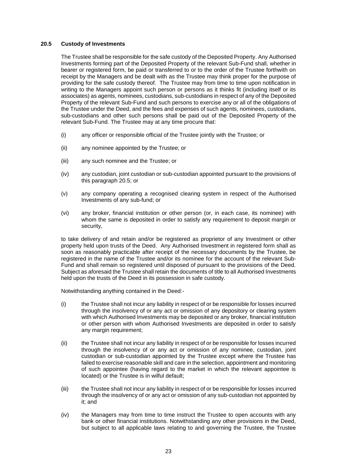# **20.5 Custody of Investments**

The Trustee shall be responsible for the safe custody of the Deposited Property. Any Authorised Investments forming part of the Deposited Property of the relevant Sub-Fund shall, whether in bearer or registered form, be paid or transferred to or to the order of the Trustee forthwith on receipt by the Managers and be dealt with as the Trustee may think proper for the purpose of providing for the safe custody thereof. The Trustee may from time to time upon notification in writing to the Managers appoint such person or persons as it thinks fit (including itself or its associates) as agents, nominees, custodians, sub-custodians in respect of any of the Deposited Property of the relevant Sub-Fund and such persons to exercise any or all of the obligations of the Trustee under the Deed, and the fees and expenses of such agents, nominees, custodians, sub-custodians and other such persons shall be paid out of the Deposited Property of the relevant Sub-Fund. The Trustee may at any time procure that:

- (i) any officer or responsible official of the Trustee jointly with the Trustee; or
- (ii) any nominee appointed by the Trustee; or
- (iii) any such nominee and the Trustee; or
- (iv) any custodian, joint custodian or sub-custodian appointed pursuant to the provisions of this paragraph 20.5; or
- (v) any company operating a recognised clearing system in respect of the Authorised Investments of any sub-fund; or
- (vi) any broker, financial institution or other person (or, in each case, its nominee) with whom the same is deposited in order to satisfy any requirement to deposit margin or security,

to take delivery of and retain and/or be registered as proprietor of any Investment or other property held upon trusts of the Deed. Any Authorised Investment in registered form shall as soon as reasonably practicable after receipt of the necessary documents by the Trustee, be registered in the name of the Trustee and/or its nominee for the account of the relevant Sub-Fund and shall remain so registered until disposed of pursuant to the provisions of the Deed. Subject as aforesaid the Trustee shall retain the documents of title to all Authorised Investments held upon the trusts of the Deed in its possession in safe custody.

Notwithstanding anything contained in the Deed:-

- (i) the Trustee shall not incur any liability in respect of or be responsible for losses incurred through the insolvency of or any act or omission of any depository or clearing system with which Authorised Investments may be deposited or any broker, financial institution or other person with whom Authorised Investments are deposited in order to satisfy any margin requirement;
- (ii) the Trustee shall not incur any liability in respect of or be responsible for losses incurred through the insolvency of or any act or omission of any nominee, custodian, joint custodian or sub-custodian appointed by the Trustee except where the Trustee has failed to exercise reasonable skill and care in the selection, appointment and monitoring of such appointee (having regard to the market in which the relevant appointee is located) or the Trustee is in wilful default;
- (iii) the Trustee shall not incur any liability in respect of or be responsible for losses incurred through the insolvency of or any act or omission of any sub-custodian not appointed by it; and
- (iv) the Managers may from time to time instruct the Trustee to open accounts with any bank or other financial institutions. Notwithstanding any other provisions in the Deed, but subject to all applicable laws relating to and governing the Trustee, the Trustee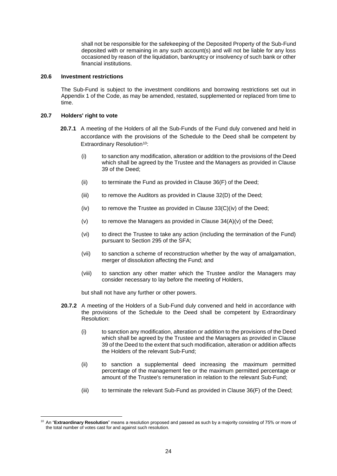shall not be responsible for the safekeeping of the Deposited Property of the Sub-Fund deposited with or remaining in any such account(s) and will not be liable for any loss occasioned by reason of the liquidation, bankruptcy or insolvency of such bank or other financial institutions.

#### **20.6 Investment restrictions**

The Sub-Fund is subject to the investment conditions and borrowing restrictions set out in Appendix 1 of the Code, as may be amended, restated, supplemented or replaced from time to time.

### **20.7 Holders' right to vote**

- **20.7.1** A meeting of the Holders of all the Sub-Funds of the Fund duly convened and held in accordance with the provisions of the Schedule to the Deed shall be competent by Extraordinary Resolution<sup>10</sup>:
	- (i) to sanction any modification, alteration or addition to the provisions of the Deed which shall be agreed by the Trustee and the Managers as provided in Clause 39 of the Deed;
	- $(ii)$  to terminate the Fund as provided in Clause  $36(F)$  of the Deed;
	- (iii) to remove the Auditors as provided in Clause 32(D) of the Deed;
	- $(iv)$  to remove the Trustee as provided in Clause 33 $(C)(iv)$  of the Deed;
	- (v) to remove the Managers as provided in Clause  $34(A)(v)$  of the Deed;
	- (vi) to direct the Trustee to take any action (including the termination of the Fund) pursuant to Section 295 of the SFA;
	- (vii) to sanction a scheme of reconstruction whether by the way of amalgamation, merger of dissolution affecting the Fund; and
	- (viii) to sanction any other matter which the Trustee and/or the Managers may consider necessary to lay before the meeting of Holders,

but shall not have any further or other powers.

- **20.7.2** A meeting of the Holders of a Sub-Fund duly convened and held in accordance with the provisions of the Schedule to the Deed shall be competent by Extraordinary Resolution:
	- (i) to sanction any modification, alteration or addition to the provisions of the Deed which shall be agreed by the Trustee and the Managers as provided in Clause 39 of the Deed to the extent that such modification, alteration or addition affects the Holders of the relevant Sub-Fund;
	- (ii) to sanction a supplemental deed increasing the maximum permitted percentage of the management fee or the maximum permitted percentage or amount of the Trustee's remuneration in relation to the relevant Sub-Fund;
	- (iii) to terminate the relevant Sub-Fund as provided in Clause 36(F) of the Deed;

<sup>10</sup> An "**Extraordinary Resolution**" means a resolution proposed and passed as such by a majority consisting of 75% or more of the total number of votes cast for and against such resolution.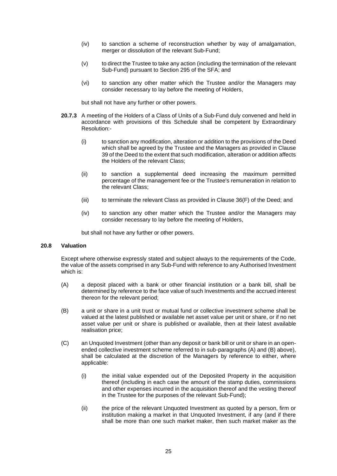- (iv) to sanction a scheme of reconstruction whether by way of amalgamation, merger or dissolution of the relevant Sub-Fund;
- (v) to direct the Trustee to take any action (including the termination of the relevant Sub-Fund) pursuant to Section 295 of the SFA; and
- (vi) to sanction any other matter which the Trustee and/or the Managers may consider necessary to lay before the meeting of Holders,

but shall not have any further or other powers.

- **20.7.3** A meeting of the Holders of a Class of Units of a Sub-Fund duly convened and held in accordance with provisions of this Schedule shall be competent by Extraordinary Resolution:-
	- (i) to sanction any modification, alteration or addition to the provisions of the Deed which shall be agreed by the Trustee and the Managers as provided in Clause 39 of the Deed to the extent that such modification, alteration or addition affects the Holders of the relevant Class;
	- (ii) to sanction a supplemental deed increasing the maximum permitted percentage of the management fee or the Trustee's remuneration in relation to the relevant Class;
	- (iii) to terminate the relevant Class as provided in Clause 36(F) of the Deed; and
	- (iv) to sanction any other matter which the Trustee and/or the Managers may consider necessary to lay before the meeting of Holders,

but shall not have any further or other powers.

#### **20.8 Valuation**

Except where otherwise expressly stated and subject always to the requirements of the Code, the value of the assets comprised in any Sub-Fund with reference to any Authorised Investment which is:

- (A) a deposit placed with a bank or other financial institution or a bank bill, shall be determined by reference to the face value of such Investments and the accrued interest thereon for the relevant period;
- (B) a unit or share in a unit trust or mutual fund or collective investment scheme shall be valued at the latest published or available net asset value per unit or share, or if no net asset value per unit or share is published or available, then at their latest available realisation price;
- (C) an Unquoted Investment (other than any deposit or bank bill or unit or share in an openended collective investment scheme referred to in sub-paragraphs (A) and (B) above), shall be calculated at the discretion of the Managers by reference to either, where applicable:
	- (i) the initial value expended out of the Deposited Property in the acquisition thereof (including in each case the amount of the stamp duties, commissions and other expenses incurred in the acquisition thereof and the vesting thereof in the Trustee for the purposes of the relevant Sub-Fund);
	- (ii) the price of the relevant Unquoted Investment as quoted by a person, firm or institution making a market in that Unquoted Investment, if any (and if there shall be more than one such market maker, then such market maker as the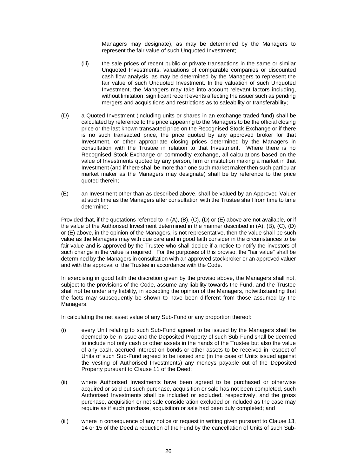Managers may designate), as may be determined by the Managers to represent the fair value of such Unquoted Investment;

- (iii) the sale prices of recent public or private transactions in the same or similar Unquoted Investments, valuations of comparable companies or discounted cash flow analysis, as may be determined by the Managers to represent the fair value of such Unquoted Investment. In the valuation of such Unquoted Investment, the Managers may take into account relevant factors including, without limitation, significant recent events affecting the issuer such as pending mergers and acquisitions and restrictions as to saleability or transferability;
- (D) a Quoted Investment (including units or shares in an exchange traded fund) shall be calculated by reference to the price appearing to the Managers to be the official closing price or the last known transacted price on the Recognised Stock Exchange or if there is no such transacted price, the price quoted by any approved broker for that Investment, or other appropriate closing prices determined by the Managers in consultation with the Trustee in relation to that Investment. Where there is no Recognised Stock Exchange or commodity exchange, all calculations based on the value of Investments quoted by any person, firm or institution making a market in that Investment (and if there shall be more than one such market maker then such particular market maker as the Managers may designate) shall be by reference to the price quoted therein;
- (E) an Investment other than as described above, shall be valued by an Approved Valuer at such time as the Managers after consultation with the Trustee shall from time to time determine;

Provided that, if the quotations referred to in (A), (B), (C), (D) or (E) above are not available, or if the value of the Authorised Investment determined in the manner described in (A), (B), (C), (D) or (E) above, in the opinion of the Managers, is not representative, then the value shall be such value as the Managers may with due care and in good faith consider in the circumstances to be fair value and is approved by the Trustee who shall decide if a notice to notify the investors of such change in the value is required. For the purposes of this proviso, the "fair value" shall be determined by the Managers in consultation with an approved stockbroker or an approved valuer and with the approval of the Trustee in accordance with the Code.

In exercising in good faith the discretion given by the proviso above, the Managers shall not, subject to the provisions of the Code, assume any liability towards the Fund, and the Trustee shall not be under any liability, in accepting the opinion of the Managers, notwithstanding that the facts may subsequently be shown to have been different from those assumed by the Managers.

In calculating the net asset value of any Sub-Fund or any proportion thereof:

- (i) every Unit relating to such Sub-Fund agreed to be issued by the Managers shall be deemed to be in issue and the Deposited Property of such Sub-Fund shall be deemed to include not only cash or other assets in the hands of the Trustee but also the value of any cash, accrued interest on bonds or other assets to be received in respect of Units of such Sub-Fund agreed to be issued and (in the case of Units issued against the vesting of Authorised Investments) any moneys payable out of the Deposited Property pursuant to Clause 11 of the Deed;
- (ii) where Authorised Investments have been agreed to be purchased or otherwise acquired or sold but such purchase, acquisition or sale has not been completed, such Authorised Investments shall be included or excluded, respectively, and the gross purchase, acquisition or net sale consideration excluded or included as the case may require as if such purchase, acquisition or sale had been duly completed; and
- (iii) where in consequence of any notice or request in writing given pursuant to Clause 13, 14 or 15 of the Deed a reduction of the Fund by the cancellation of Units of such Sub-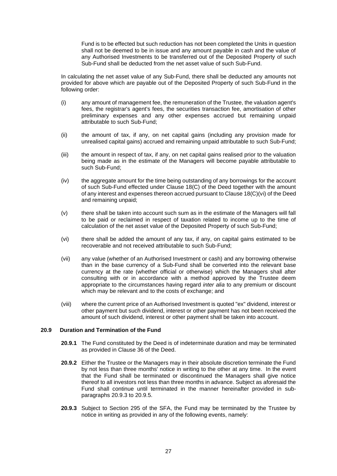Fund is to be effected but such reduction has not been completed the Units in question shall not be deemed to be in issue and any amount payable in cash and the value of any Authorised Investments to be transferred out of the Deposited Property of such Sub-Fund shall be deducted from the net asset value of such Sub-Fund.

In calculating the net asset value of any Sub-Fund, there shall be deducted any amounts not provided for above which are payable out of the Deposited Property of such Sub-Fund in the following order:

- (i) any amount of management fee, the remuneration of the Trustee, the valuation agent's fees, the registrar's agent's fees, the securities transaction fee, amortisation of other preliminary expenses and any other expenses accrued but remaining unpaid attributable to such Sub-Fund;
- (ii) the amount of tax, if any, on net capital gains (including any provision made for unrealised capital gains) accrued and remaining unpaid attributable to such Sub-Fund;
- (iii) the amount in respect of tax, if any, on net capital gains realised prior to the valuation being made as in the estimate of the Managers will become payable attributable to such Sub-Fund;
- (iv) the aggregate amount for the time being outstanding of any borrowings for the account of such Sub-Fund effected under Clause 18(C) of the Deed together with the amount of any interest and expenses thereon accrued pursuant to Clause 18(C)(vi) of the Deed and remaining unpaid;
- (v) there shall be taken into account such sum as in the estimate of the Managers will fall to be paid or reclaimed in respect of taxation related to income up to the time of calculation of the net asset value of the Deposited Property of such Sub-Fund;
- (vi) there shall be added the amount of any tax, if any, on capital gains estimated to be recoverable and not received attributable to such Sub-Fund;
- (vii) any value (whether of an Authorised Investment or cash) and any borrowing otherwise than in the base currency of a Sub-Fund shall be converted into the relevant base currency at the rate (whether official or otherwise) which the Managers shall after consulting with or in accordance with a method approved by the Trustee deem appropriate to the circumstances having regard *inter alia* to any premium or discount which may be relevant and to the costs of exchange; and
- (viii) where the current price of an Authorised Investment is quoted "ex" dividend, interest or other payment but such dividend, interest or other payment has not been received the amount of such dividend, interest or other payment shall be taken into account.

## **20.9 Duration and Termination of the Fund**

- **20.9.1** The Fund constituted by the Deed is of indeterminate duration and may be terminated as provided in Clause 36 of the Deed.
- **20.9.2** Either the Trustee or the Managers may in their absolute discretion terminate the Fund by not less than three months' notice in writing to the other at any time. In the event that the Fund shall be terminated or discontinued the Managers shall give notice thereof to all investors not less than three months in advance. Subject as aforesaid the Fund shall continue until terminated in the manner hereinafter provided in subparagraphs 20.9.3 to 20.9.5.
- **20.9.3** Subject to Section 295 of the SFA, the Fund may be terminated by the Trustee by notice in writing as provided in any of the following events, namely: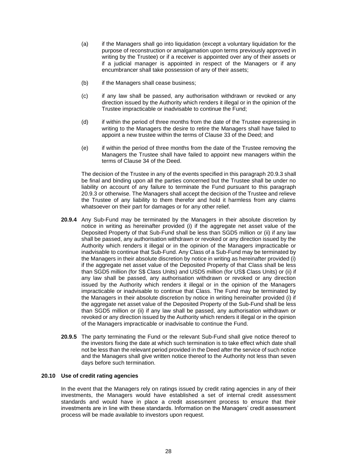- (a) if the Managers shall go into liquidation (except a voluntary liquidation for the purpose of reconstruction or amalgamation upon terms previously approved in writing by the Trustee) or if a receiver is appointed over any of their assets or if a judicial manager is appointed in respect of the Managers or if any encumbrancer shall take possession of any of their assets;
- (b) if the Managers shall cease business;
- (c) if any law shall be passed, any authorisation withdrawn or revoked or any direction issued by the Authority which renders it illegal or in the opinion of the Trustee impracticable or inadvisable to continue the Fund;
- (d) if within the period of three months from the date of the Trustee expressing in writing to the Managers the desire to retire the Managers shall have failed to appoint a new trustee within the terms of Clause 33 of the Deed; and
- (e) if within the period of three months from the date of the Trustee removing the Managers the Trustee shall have failed to appoint new managers within the terms of Clause 34 of the Deed.

The decision of the Trustee in any of the events specified in this paragraph 20.9.3 shall be final and binding upon all the parties concerned but the Trustee shall be under no liability on account of any failure to terminate the Fund pursuant to this paragraph 20.9.3 or otherwise. The Managers shall accept the decision of the Trustee and relieve the Trustee of any liability to them therefor and hold it harmless from any claims whatsoever on their part for damages or for any other relief.

- **20.9.4** Any Sub-Fund may be terminated by the Managers in their absolute discretion by notice in writing as hereinafter provided (i) if the aggregate net asset value of the Deposited Property of that Sub-Fund shall be less than SGD5 million or (ii) if any law shall be passed, any authorisation withdrawn or revoked or any direction issued by the Authority which renders it illegal or in the opinion of the Managers impracticable or inadvisable to continue that Sub-Fund. Any Class of a Sub-Fund may be terminated by the Managers in their absolute discretion by notice in writing as hereinafter provided (i) if the aggregate net asset value of the Deposited Property of that Class shall be less than SGD5 million (for S\$ Class Units) and USD5 million (for US\$ Class Units) or (ii) if any law shall be passed, any authorisation withdrawn or revoked or any direction issued by the Authority which renders it illegal or in the opinion of the Managers impracticable or inadvisable to continue that Class. The Fund may be terminated by the Managers in their absolute discretion by notice in writing hereinafter provided (i) if the aggregate net asset value of the Deposited Property of the Sub-Fund shall be less than SGD5 million or (ii) if any law shall be passed, any authorisation withdrawn or revoked or any direction issued by the Authority which renders it illegal or in the opinion of the Managers impracticable or inadvisable to continue the Fund.
- **20.9.5** The party terminating the Fund or the relevant Sub-Fund shall give notice thereof to the investors fixing the date at which such termination is to take effect which date shall not be less than the relevant period provided in the Deed after the service of such notice and the Managers shall give written notice thereof to the Authority not less than seven days before such termination.

# **20.10 Use of credit rating agencies**

In the event that the Managers rely on ratings issued by credit rating agencies in any of their investments, the Managers would have established a set of internal credit assessment standards and would have in place a credit assessment process to ensure that their investments are in line with these standards. Information on the Managers' credit assessment process will be made available to investors upon request.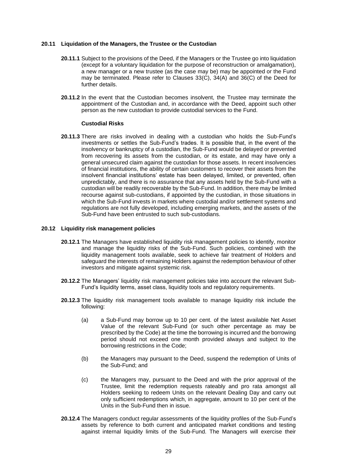#### **20.11 Liquidation of the Managers, the Trustee or the Custodian**

- **20.11.1** Subject to the provisions of the Deed, if the Managers or the Trustee go into liquidation (except for a voluntary liquidation for the purpose of reconstruction or amalgamation), a new manager or a new trustee (as the case may be) may be appointed or the Fund may be terminated. Please refer to Clauses 33(C), 34(A) and 36(C) of the Deed for further details.
- **20.11.2** In the event that the Custodian becomes insolvent, the Trustee may terminate the appointment of the Custodian and, in accordance with the Deed, appoint such other person as the new custodian to provide custodial services to the Fund.

#### **Custodial Risks**

**20.11.3** There are risks involved in dealing with a custodian who holds the Sub-Fund's investments or settles the Sub-Fund's trades. It is possible that, in the event of the insolvency or bankruptcy of a custodian, the Sub-Fund would be delayed or prevented from recovering its assets from the custodian, or its estate, and may have only a general unsecured claim against the custodian for those assets. In recent insolvencies of financial institutions, the ability of certain customers to recover their assets from the insolvent financial institutions' estate has been delayed, limited, or prevented, often unpredictably, and there is no assurance that any assets held by the Sub-Fund with a custodian will be readily recoverable by the Sub-Fund. In addition, there may be limited recourse against sub-custodians, if appointed by the custodian, in those situations in which the Sub-Fund invests in markets where custodial and/or settlement systems and regulations are not fully developed, including emerging markets, and the assets of the Sub-Fund have been entrusted to such sub-custodians.

#### **20.12 Liquidity risk management policies**

- **20.12.1** The Managers have established liquidity risk management policies to identify, monitor and manage the liquidity risks of the Sub-Fund. Such policies, combined with the liquidity management tools available, seek to achieve fair treatment of Holders and safeguard the interests of remaining Holders against the redemption behaviour of other investors and mitigate against systemic risk.
- **20.12.2** The Managers' liquidity risk management policies take into account the relevant Sub-Fund's liquidity terms, asset class, liquidity tools and regulatory requirements.
- **20.12.3** The liquidity risk management tools available to manage liquidity risk include the following:
	- (a) a Sub-Fund may borrow up to 10 per cent. of the latest available Net Asset Value of the relevant Sub-Fund (or such other percentage as may be prescribed by the Code) at the time the borrowing is incurred and the borrowing period should not exceed one month provided always and subject to the borrowing restrictions in the Code;
	- (b) the Managers may pursuant to the Deed, suspend the redemption of Units of the Sub-Fund; and
	- (c) the Managers may, pursuant to the Deed and with the prior approval of the Trustee, limit the redemption requests rateably and pro rata amongst all Holders seeking to redeem Units on the relevant Dealing Day and carry out only sufficient redemptions which, in aggregate, amount to 10 per cent of the Units in the Sub-Fund then in issue.
- **20.12.4** The Managers conduct regular assessments of the liquidity profiles of the Sub-Fund's assets by reference to both current and anticipated market conditions and testing against internal liquidity limits of the Sub-Fund. The Managers will exercise their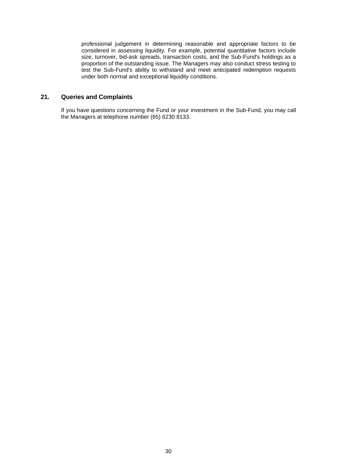professional judgement in determining reasonable and appropriate factors to be considered in assessing liquidity. For example, potential quantitative factors include size, turnover, bid-ask spreads, transaction costs, and the Sub-Fund's holdings as a proportion of the outstanding issue. The Managers may also conduct stress testing to test the Sub-Fund's ability to withstand and meet anticipated redemption requests under both normal and exceptional liquidity conditions.

# **21. Queries and Complaints**

If you have questions concerning the Fund or your investment in the Sub-Fund, you may call the Managers at telephone number (65) 6230 8133.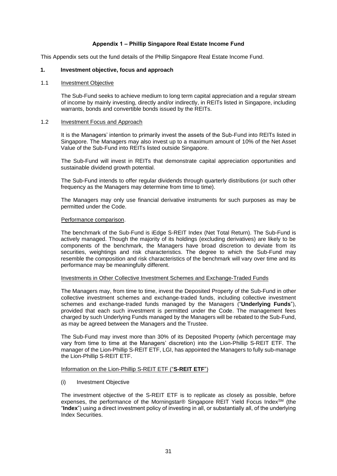# **Appendix 1 – Phillip Singapore Real Estate Income Fund**

This Appendix sets out the fund details of the Phillip Singapore Real Estate Income Fund.

#### **1. Investment objective, focus and approach**

#### 1.1 **Investment Objective**

The Sub-Fund seeks to achieve medium to long term capital appreciation and a regular stream of income by mainly investing, directly and/or indirectly, in REITs listed in Singapore, including warrants, bonds and convertible bonds issued by the REITs.

#### 1.2 Investment Focus and Approach

It is the Managers' intention to primarily invest the assets of the Sub-Fund into REITs listed in Singapore. The Managers may also invest up to a maximum amount of 10% of the Net Asset Value of the Sub-Fund into REITs listed outside Singapore.

The Sub-Fund will invest in REITs that demonstrate capital appreciation opportunities and sustainable dividend growth potential.

The Sub-Fund intends to offer regular dividends through quarterly distributions (or such other frequency as the Managers may determine from time to time).

The Managers may only use financial derivative instruments for such purposes as may be permitted under the Code.

#### Performance comparison.

The benchmark of the Sub-Fund is iEdge S-REIT Index (Net Total Return). The Sub-Fund is actively managed. Though the majority of its holdings (excluding derivatives) are likely to be components of the benchmark, the Managers have broad discretion to deviate from its securities, weightings and risk characteristics. The degree to which the Sub-Fund may resemble the composition and risk characteristics of the benchmark will vary over time and its performance may be meaningfully different.

#### Investments in Other Collective Investment Schemes and Exchange-Traded Funds

The Managers may, from time to time, invest the Deposited Property of the Sub-Fund in other collective investment schemes and exchange-traded funds, including collective investment schemes and exchange-traded funds managed by the Managers ("**Underlying Funds**"), provided that each such investment is permitted under the Code. The management fees charged by such Underlying Funds managed by the Managers will be rebated to the Sub-Fund, as may be agreed between the Managers and the Trustee.

The Sub-Fund may invest more than 30% of its Deposited Property (which percentage may vary from time to time at the Managers' discretion) into the Lion-Phillip S-REIT ETF. The manager of the Lion-Phillip S-REIT ETF, LGI, has appointed the Managers to fully sub-manage the Lion-Phillip S-REIT ETF.

#### Information on the Lion-Phillip S-REIT ETF ("**S-REIT ETF**")

#### (i) Investment Objective

The investment objective of the S-REIT ETF is to replicate as closely as possible, before expenses, the performance of the Morningstar® Singapore REIT Yield Focus IndexSM (the "**Index**") using a direct investment policy of investing in all, or substantially all, of the underlying Index Securities.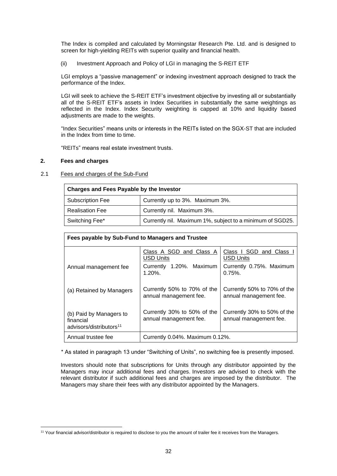The Index is compiled and calculated by Morningstar Research Pte. Ltd. and is designed to screen for high-yielding REITs with superior quality and financial health.

(ii) Investment Approach and Policy of LGI in managing the S-REIT ETF

LGI employs a "passive management" or indexing investment approach designed to track the performance of the Index.

LGI will seek to achieve the S-REIT ETF's investment objective by investing all or substantially all of the S-REIT ETF's assets in Index Securities in substantially the same weightings as reflected in the Index. Index Security weighting is capped at 10% and liquidity based adjustments are made to the weights.

"Index Securities" means units or interests in the REITs listed on the SGX-ST that are included in the Index from time to time.

"REITs" means real estate investment trusts.

# **2. Fees and charges**

# 2.1 Fees and charges of the Sub-Fund

| <b>Charges and Fees Payable by the Investor</b>                             |                                 |  |  |  |  |
|-----------------------------------------------------------------------------|---------------------------------|--|--|--|--|
| <b>Subscription Fee</b>                                                     | Currently up to 3%. Maximum 3%. |  |  |  |  |
| <b>Realisation Fee</b>                                                      | Currently nil. Maximum 3%.      |  |  |  |  |
| Currently nil. Maximum 1%, subject to a minimum of SGD25.<br>Switching Fee* |                                 |  |  |  |  |

| Fees payable by Sub-Fund to Managers and Trustee                            |                                                       |                                                       |  |  |  |  |  |
|-----------------------------------------------------------------------------|-------------------------------------------------------|-------------------------------------------------------|--|--|--|--|--|
|                                                                             | Class A SGD and Class A<br><b>USD Units</b>           | Class I SGD and Class<br><b>USD Units</b>             |  |  |  |  |  |
| Annual management fee                                                       | Currently 1.20%. Maximum<br>$1.20\%$ .                | Currently 0.75%. Maximum<br>$0.75\%$ .                |  |  |  |  |  |
| (a) Retained by Managers                                                    | Currently 50% to 70% of the<br>annual management fee. | Currently 50% to 70% of the<br>annual management fee. |  |  |  |  |  |
| (b) Paid by Managers to<br>financial<br>advisors/distributors <sup>11</sup> | Currently 30% to 50% of the<br>annual management fee. | Currently 30% to 50% of the<br>annual management fee. |  |  |  |  |  |
| Annual trustee fee<br>Currently 0.04%. Maximum 0.12%.                       |                                                       |                                                       |  |  |  |  |  |

\* As stated in paragraph 13 under "Switching of Units", no switching fee is presently imposed.

Investors should note that subscriptions for Units through any distributor appointed by the Managers may incur additional fees and charges. Investors are advised to check with the relevant distributor if such additional fees and charges are imposed by the distributor. The Managers may share their fees with any distributor appointed by the Managers.

<sup>11</sup> Your financial advisor/distributor is required to disclose to you the amount of trailer fee it receives from the Managers.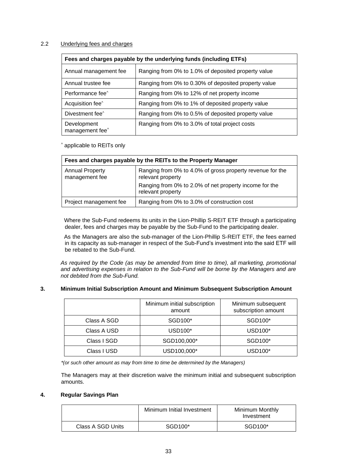# 2.2 Underlying fees and charges

| Fees and charges payable by the underlying funds (including ETFs) |                                                      |  |  |  |
|-------------------------------------------------------------------|------------------------------------------------------|--|--|--|
| Annual management fee                                             | Ranging from 0% to 1.0% of deposited property value  |  |  |  |
| Annual trustee fee                                                | Ranging from 0% to 0.30% of deposited property value |  |  |  |
| Performance fee <sup>^</sup>                                      | Ranging from 0% to 12% of net property income        |  |  |  |
| Acquisition fee <sup>^</sup>                                      | Ranging from 0% to 1% of deposited property value    |  |  |  |
| Divestment fee <sup>^</sup>                                       | Ranging from 0% to 0.5% of deposited property value  |  |  |  |
| Development<br>management fee^                                    | Ranging from 0% to 3.0% of total project costs       |  |  |  |

^ applicable to REITs only

| Fees and charges payable by the REITs to the Property Manager |                                                                                |  |  |  |  |
|---------------------------------------------------------------|--------------------------------------------------------------------------------|--|--|--|--|
| <b>Annual Property</b><br>management fee                      | Ranging from 0% to 4.0% of gross property revenue for the<br>relevant property |  |  |  |  |
|                                                               | Ranging from 0% to 2.0% of net property income for the<br>relevant property    |  |  |  |  |
| Project management fee                                        | Ranging from 0% to 3.0% of construction cost                                   |  |  |  |  |

Where the Sub-Fund redeems its units in the Lion-Phillip S-REIT ETF through a participating dealer, fees and charges may be payable by the Sub-Fund to the participating dealer.

As the Managers are also the sub-manager of the Lion-Phillip S-REIT ETF, the fees earned in its capacity as sub-manager in respect of the Sub-Fund's investment into the said ETF will be rebated to the Sub-Fund.

*As required by the Code (as may be amended from time to time), all marketing, promotional and advertising expenses in relation to the Sub-Fund will be borne by the Managers and are not debited from the Sub-Fund.*

# **3. Minimum Initial Subscription Amount and Minimum Subsequent Subscription Amount**

|             | Minimum initial subscription<br>amount | Minimum subsequent<br>subscription amount |
|-------------|----------------------------------------|-------------------------------------------|
| Class A SGD | SGD100*                                | SGD100*                                   |
| Class A USD | USD100*                                | USD100*                                   |
| Class I SGD | SGD100,000*                            | SGD100*                                   |
| Class I USD | USD100,000*                            | USD100*                                   |

*\*(or such other amount as may from time to time be determined by the Managers)*

The Managers may at their discretion waive the minimum initial and subsequent subscription amounts.

# **4. Regular Savings Plan**

|                   | Minimum Initial Investment | Minimum Monthly<br>Investment |
|-------------------|----------------------------|-------------------------------|
| Class A SGD Units | SGD100*                    | SGD100*                       |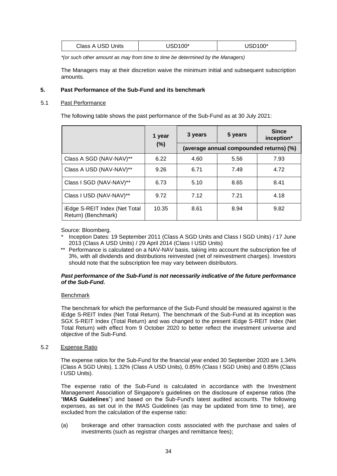| Class A USD Units | USD100* | <b>JSD100*</b> |
|-------------------|---------|----------------|
|                   |         |                |

*\*(or such other amount as may from time to time be determined by the Managers)*

The Managers may at their discretion waive the minimum initial and subsequent subscription amounts.

# **5. Past Performance of the Sub-Fund and its benchmark**

#### 5.1 Past Performance

The following table shows the past performance of the Sub-Fund as at 30 July 2021:

|                                                      | 1 year | 3 years                                        | 5 years | <b>Since</b><br>inception* |  |
|------------------------------------------------------|--------|------------------------------------------------|---------|----------------------------|--|
|                                                      |        | (%)<br>(average annual compounded returns) (%) |         |                            |  |
| Class A SGD (NAV-NAV)**                              | 6.22   | 4.60                                           | 5.56    | 7.93                       |  |
| Class A USD (NAV-NAV)**                              | 9.26   | 6.71                                           | 7.49    | 4.72                       |  |
| Class I SGD (NAV-NAV)**                              | 6.73   | 5.10                                           | 8.65    | 8.41                       |  |
| Class I USD (NAV-NAV)**                              | 9.72   | 7.12                                           | 7.21    | 4.18                       |  |
| iEdge S-REIT Index (Net Total<br>Return) (Benchmark) | 10.35  | 8.61                                           | 8.94    | 9.82                       |  |

Source: Bloomberg.

- Inception Dates: 19 September 2011 (Class A SGD Units and Class I SGD Units) / 17 June 2013 (Class A USD Units) / 29 April 2014 (Class I USD Units)
- \*\* Performance is calculated on a NAV-NAV basis, taking into account the subscription fee of 3%, with all dividends and distributions reinvested (net of reinvestment charges). Investors should note that the subscription fee may vary between distributors.

#### *Past performance of the Sub-Fund is not necessarily indicative of the future performance of the Sub-Fund.*

#### **Benchmark**

The benchmark for which the performance of the Sub-Fund should be measured against is the iEdge S-REIT Index (Net Total Return). The benchmark of the Sub-Fund at its inception was SGX S-REIT Index (Total Return) and was changed to the present iEdge S-REIT Index (Net Total Return) with effect from 9 October 2020 to better reflect the investment universe and objective of the Sub-Fund.

5.2 Expense Ratio

The expense ratios for the Sub-Fund for the financial year ended 30 September 2020 are 1.34% (Class A SGD Units), 1.32% (Class A USD Units), 0.85% (Class I SGD Units) and 0.85% (Class I USD Units).

The expense ratio of the Sub-Fund is calculated in accordance with the Investment Management Association of Singapore's guidelines on the disclosure of expense ratios (the "**IMAS Guidelines**") and based on the Sub-Fund's latest audited accounts. The following expenses, as set out in the IMAS Guidelines (as may be updated from time to time), are excluded from the calculation of the expense ratio:

(a) brokerage and other transaction costs associated with the purchase and sales of investments (such as registrar charges and remittance fees);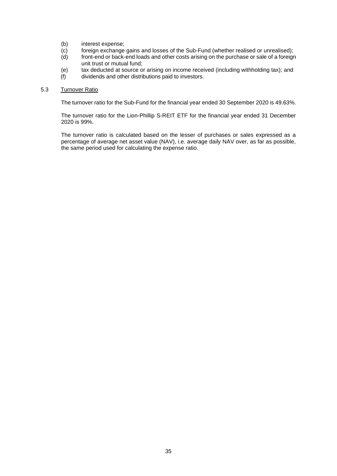- (b) interest expense;
- (c) foreign exchange gains and losses of the Sub-Fund (whether realised or unrealised);
- $(d)$  front-end or back-end loads and other costs arising on the purchase or sale of a foreign unit trust or mutual fund;
- (e) tax deducted at source or arising on income received (including withholding tax); and
- (f) dividends and other distributions paid to investors.

# 5.3 Turnover Ratio

The turnover ratio for the Sub-Fund for the financial year ended 30 September 2020 is 49.63%.

The turnover ratio for the Lion-Phillip S-REIT ETF for the financial year ended 31 December 2020 is 99%.

The turnover ratio is calculated based on the lesser of purchases or sales expressed as a percentage of average net asset value (NAV), i.e. average daily NAV over, as far as possible, the same period used for calculating the expense ratio.